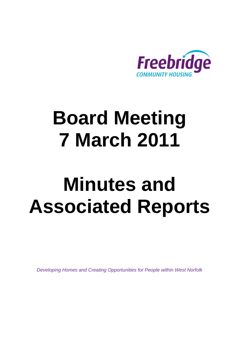

# **Board Meeting 7 March 2011**

# **Minutes and Associated Reports**

*Developing Homes and Creating Opportunities for People within West Norfolk*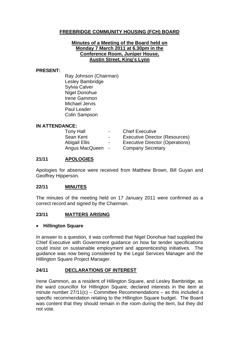#### **FREEBRIDGE COMMUNITY HOUSING (FCH) BOARD**

#### **Minutes of a Meeting of the Board held on Monday 7 March 2011 at 6.30pm in the Conference Room, Juniper House, Austin Street, King's Lynn**

#### **PRESENT:**

Ray Johnson (Chairman) Lesley Bambridge Sylvia Calver Nigel Donohue Irene Gammon Michael Jervis Paul Leader Colin Sampson

#### **IN ATTENDANCE:**

| <b>Tony Hall</b>     | $\sim$ 10 $\sim$ | <b>Chief Executive</b>          |
|----------------------|------------------|---------------------------------|
| Sean Kent            | $\sim$           | Executive Director (Resources)  |
| <b>Abigail Ellis</b> | $\sim$           | Executive Director (Operations) |
| Angus MacQueen -     |                  | <b>Company Secretary</b>        |

#### **21/11 APOLOGIES**

Apologies for absence were received from Matthew Brown, Bill Guyan and Geoffrey Hipperson.

#### **22/11 MINUTES**

The minutes of the meeting held on 17 January 2011 were confirmed as a correct record and signed by the Chairman.

#### **23/11 MATTERS ARISING**

#### • **Hillington Square**

In answer to a question, it was confirmed that Nigel Donohue had supplied the Chief Executive with Government guidance on how far tender specifications could insist on sustainable employment and apprenticeship initiatives. The guidance was now being considered by the Legal Services Manager and the Hillington Square Project Manager.

#### **24/11 DECLARATIONS OF INTEREST**

Irene Gammon, as a resident of Hillington Square, and Lesley Bambridge, as the ward councillor for Hillington Square, declared interests in the item at minute number 27/11(c) – Committee Recommendations – as this included a specific recommendation relating to the Hillington Square budget. The Board was content that they should remain in the room during the item, but they did not vote.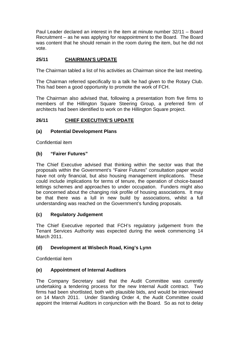Paul Leader declared an interest in the item at minute number 32/11 – Board Recruitment – as he was applying for reappointment to the Board. The Board was content that he should remain in the room during the item, but he did not vote.

#### **25/11 CHAIRMAN'S UPDATE**

The Chairman tabled a list of his activities as Chairman since the last meeting.

The Chairman referred specifically to a talk he had given to the Rotary Club. This had been a good opportunity to promote the work of FCH.

The Chairman also advised that, following a presentation from five firms to members of the Hillington Square Steering Group, a preferred firm of architects had been identified to work on the Hillington Square project.

#### **26/11 CHIEF EXECUTIVE'S UPDATE**

#### **(a) Potential Development Plans**

Confidential item

#### **(b) "Fairer Futures"**

The Chief Executive advised that thinking within the sector was that the proposals within the Government's "Fairer Futures" consultation paper would have not only financial, but also housing management implications. These could include implications for terms of tenure, the operation of choice-based lettings schemes and approaches to under occupation. Funders might also be concerned about the changing risk profile of housing associations. It may be that there was a lull in new build by associations, whilst a full understanding was reached on the Government's funding proposals.

#### **(c) Regulatory Judgement**

The Chief Executive reported that FCH's regulatory judgement from the Tenant Services Authority was expected during the week commencing 14 March 2011.

#### **(d) Development at Wisbech Road, King's Lynn**

Confidential item

#### **(e) Appointment of Internal Auditors**

The Company Secretary said that the Audit Committee was currently undertaking a tendering process for the new Internal Audit contract. Two firms had been shortlisted, both with plausible bids, and would be interviewed on 14 March 2011. Under Standing Order 4, the Audit Committee could appoint the Internal Auditors in conjunction with the Board. So as not to delay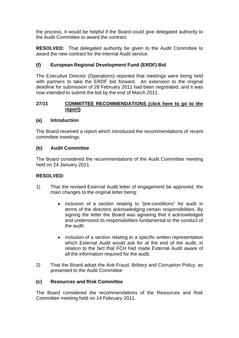the process, it would be helpful if the Board could give delegated authority to the Audit Committee to award the contract.

**RESOLVED:** That delegated authority be given to the Audit Committee to award the new contract for the Internal Audit service.

#### **(f) European Regional Development Fund (ERDF) Bid**

The Executive Director (Operations) reported that meetings were being held with partners to take the ERDF bid forward. An extension to the original deadline for submission of 28 February 2011 had been negotiated, and it was now intended to submit the bid by the end of March 2011.

#### **27/11 [COMMITTEE RECOMMENDATIONS \(click here to go to the](#page-13-0) report)**

#### **(a) Introduction**

The Board received a report which introduced the recommendations of recent committee meetings.

#### **(b) Audit Committee**

The Board considered the recommendations of the Audit Committee meeting held on 24 January 2011.

#### **RESOLVED:**

- 1) That the revised External Audit letter of engagement be approved, the main changes to the original letter being:
	- inclusion of a section relating to "pre-conditions" for audit in terms of the directors acknowledging certain responsibilities. By signing the letter the Board was agreeing that it acknowledged and understood its responsibilities fundamental to the conduct of the audit.
	- inclusion of a section relating to a specific written representation which External Audit would ask for at the end of the audit, in relation to the fact that FCH had made External Audit aware of all the information required for the audit.
- 2) That the Board adopt the Anti Fraud, Bribery and Corruption Policy, as presented to the Audit Committee

#### **(c) Resources and Risk Committee**

The Board considered the recommendations of the Resources and Risk Committee meeting held on 14 February 2011.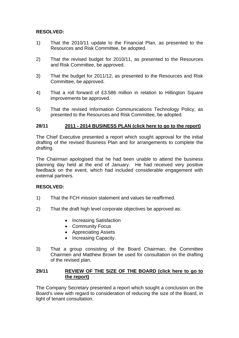#### **RESOLVED:**

- 1) That the 2010/11 update to the Financial Plan, as presented to the Resources and Risk Committee, be adopted.
- 2) That the revised budget for 2010/11, as presented to the Resources and Risk Committee, be approved.
- 3) That the budget for 2011/12, as presented to the Resources and Risk Committee, be approved.
- 4) That a roll forward of £3.586 million in relation to Hillington Square improvements be approved.
- 5) That the revised Information Communications Technology Policy, as presented to the Resources and Risk Committee, be adopted.

#### **28/11 2011 - 2014 BUSINESS PLAN [\(click here to go to the report\)](#page-15-0)**

The Chief Executive presented a report which sought approval for the initial drafting of the revised Business Plan and for arrangements to complete the drafting.

The Chairman apologised that he had been unable to attend the business planning day held at the end of January. He had received very positive feedback on the event, which had included considerable engagement with external partners.

#### **RESOLVED:**

- 1) That the FCH mission statement and values be reaffirmed.
- 2) That the draft high level corporate objectives be approved as:
	- Increasing Satisfaction
	- Community Focus
	- Appreciating Assets
	- Increasing Capacity.
- 3) That a group consisting of the Board Chairman, the Committee Chairmen and Matthew Brown be used for consultation on the drafting of the revised plan.

#### **29/11 [REVIEW OF THE SIZE OF THE BOARD \(click here to go to](#page-18-0) the report)**

The Company Secretary presented a report which sought a conclusion on the Board's view with regard to consideration of reducing the size of the Board, in light of tenant consultation.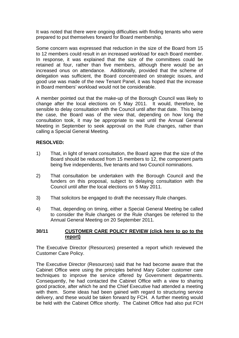It was noted that there were ongoing difficulties with finding tenants who were prepared to put themselves forward for Board membership.

Some concern was expressed that reduction in the size of the Board from 15 to 12 members could result in an increased workload for each Board member. In response, it was explained that the size of the committees could be retained at four, rather than five members, although there would be an increased onus on attendance. Additionally, provided that the scheme of delegation was sufficient, the Board concentrated on strategic issues, and good use was made of the new Tenant Panel, it was hoped that the increase in Board members' workload would not be considerable.

A member pointed out that the make-up of the Borough Council was likely to change after the local elections on 5 May 2011. It would, therefore, be sensible to delay consultation with the Council until after that date. This being the case, the Board was of the view that, depending on how long the consultation took, it may be appropriate to wait until the Annual General Meeting in September to seek approval on the Rule changes, rather than calling a Special General Meeting.

#### **RESOLVED:**

- 1) That, in light of tenant consultation, the Board agree that the size of the Board should be reduced from 15 members to 12, the component parts being five independents, five tenants and two Council nominations.
- 2) That consultation be undertaken with the Borough Council and the funders on this proposal, subject to delaying consultation with the Council until after the local elections on 5 May 2011.
- 3) That solicitors be engaged to draft the necessary Rule changes.
- 4) That, depending on timing, either a Special General Meeting be called to consider the Rule changes or the Rule changes be referred to the Annual General Meeting on 20 September 2011.

#### **30/11 [CUSTOMER CARE POLICY REVIEW \(click here to go to the](#page-21-0) report)**

The Executive Director (Resources) presented a report which reviewed the Customer Care Policy.

The Executive Director (Resources) said that he had become aware that the Cabinet Office were using the principles behind Mary Gober customer care techniques to improve the service offered by Government departments. Consequently, he had contacted the Cabinet Office with a view to sharing good practice, after which he and the Chief Executive had attended a meeting with them. Some ideas had been gained with regard to structuring service delivery, and these would be taken forward by FCH. A further meeting would be held with the Cabinet Office shortly. The Cabinet Office had also put FCH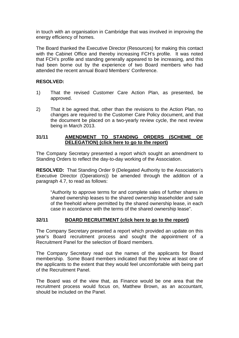in touch with an organisation in Cambridge that was involved in improving the energy efficiency of homes.

The Board thanked the Executive Director (Resources) for making this contact with the Cabinet Office and thereby increasing FCH's profile. It was noted that FCH's profile and standing generally appeared to be increasing, and this had been borne out by the experience of two Board members who had attended the recent annual Board Members' Conference.

#### **RESOLVED:**

- 1) That the revised Customer Care Action Plan, as presented, be approved.
- 2) That it be agreed that, other than the revisions to the Action Plan, no changes are required to the Customer Care Policy document, and that the document be placed on a two-yearly review cycle, the next review being in March 2013.

#### **31/11 AMENDMENT TO STANDING ORDERS (SCHEME OF DELEGATION) [\(click here to go to the report\)](#page-25-0)**

The Company Secretary presented a report which sought an amendment to Standing Orders to reflect the day-to-day working of the Association.

**RESOLVED:** That Standing Order 9 (Delegated Authority to the Association's Executive Director (Operations)) be amended through the addition of a paragraph 4.7, to read as follows:

"Authority to approve terms for and complete sales of further shares in shared ownership leases to the shared ownership leaseholder and sale of the freehold where permitted by the shared ownership lease, in each case in accordance with the terms of the shared ownership lease".

#### **32/11 BOARD RECRUITMENT [\(click here to go to the report\)](#page-26-0)**

The Company Secretary presented a report which provided an update on this year's Board recruitment process and sought the appointment of a Recruitment Panel for the selection of Board members.

The Company Secretary read out the names of the applicants for Board membership. Some Board members indicated that they knew at least one of the applicants to the extent that they would feel uncomfortable with being part of the Recruitment Panel.

The Board was of the view that, as Finance would be one area that the recruitment process would focus on, Matthew Brown, as an accountant, should be included on the Panel.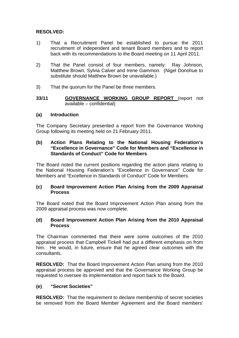#### **RESOLVED:**

- 1) That a Recruitment Panel be established to pursue the 2011 recruitment of independent and tenant Board members and to report back with its recommendations to the Board meeting on 11 April 2011.
- 2) That the Panel consist of four members, namely: Ray Johnson, Matthew Brown, Sylvia Calver and Irene Gammon. (Nigel Donohue to substitute should Matthew Brown be unavailable.)
- 3) That the quorum for the Panel be three members.
- **33/11 GOVERNANCE WORKING GROUP REPORT** (report not available – confidential)

#### **(a) Introduction**

The Company Secretary presented a report from the Governance Working Group following its meeting held on 21 February 2011.

#### **(b) Action Plans Relating to the National Housing Federation's "Excellence in Governance" Code for Members and "Excellence in Standards of Conduct" Code for Members**

The Board noted the current positions regarding the action plans relating to the National Housing Federation's "Excellence in Governance" Code for Members and "Excellence in Standards of Conduct" Code for Members.

#### **(c) Board Improvement Action Plan Arising from the 2009 Appraisal Process**

The Board noted that the Board Improvement Action Plan arising from the 2009 appraisal process was now complete.

#### **(d) Board Improvement Action Plan Arising from the 2010 Appraisal Process**

The Chairman commented that there were some outcomes of the 2010 appraisal process that Campbell Tickell had put a different emphasis on from him. He would, in future, ensure that he agreed clear outcomes with the consultants.

**RESOLVED:** That the Board Improvement Action Plan arising from the 2010 appraisal process be approved and that the Governance Working Group be requested to oversee its implementation and report back to the Board.

#### **(e) "Secret Societies"**

**RESOLVED:** That the requirement to declare membership of secret societies be removed from the Board Member Agreement and the Board members'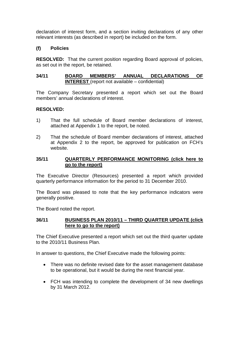declaration of interest form, and a section inviting declarations of any other relevant interests (as described in report) be included on the form.

#### **(f) Policies**

**RESOLVED:** That the current position regarding Board approval of policies, as set out in the report, be retained.

#### **34/11 BOARD MEMBERS' ANNUAL DECLARATIONS OF INTEREST** (report not available – confidential)

The Company Secretary presented a report which set out the Board members' annual declarations of interest.

#### **RESOLVED:**

- 1) That the full schedule of Board member declarations of interest, attached at Appendix 1 to the report, be noted.
- 2) That the schedule of Board member declarations of interest, attached at Appendix 2 to the report, be approved for publication on FCH's website.

#### **35/11 [QUARTERLY PERFORMANCE MONITORING \(click here to](#page-28-0)  go to the report)**

The Executive Director (Resources) presented a report which provided quarterly performance information for the period to 31 December 2010.

The Board was pleased to note that the key performance indicators were generally positive.

The Board noted the report.

#### **36/11 [BUSINESS PLAN 2010/11 – THIRD QUARTER UPDATE \(click](#page-37-0) here to go to the report)**

The Chief Executive presented a report which set out the third quarter update to the 2010/11 Business Plan.

In answer to questions, the Chief Executive made the following points:

- There was no definite revised date for the asset management database to be operational, but it would be during the next financial year.
- FCH was intending to complete the development of 34 new dwellings by 31 March 2012.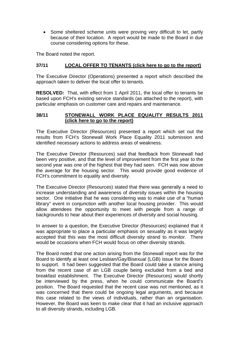• Some sheltered scheme units were proving very difficult to let, partly because of their location. A report would be made to the Board in due course considering options for these.

The Board noted the report.

#### **37/11 LOCAL OFFER TO TENANTS [\(click here to go to the report\)](#page-48-0)**

The Executive Director (Operations) presented a report which described the approach taken to deliver the local offer to tenants.

**RESOLVED:** That, with effect from 1 April 2011, the local offer to tenants be based upon FCH's existing service standards (as attached to the report), with particular emphasis on customer care and repairs and maintenance.

#### **38/11 [STONEWALL WORK PLACE EQUALITY RESULTS 2011](#page-53-0) (click here to go to the report)**

The Executive Director (Resources) presented a report which set out the results from FCH's Stonewall Work Place Equality 2011 submission and identified necessary actions to address areas of weakness.

The Executive Director (Resources) said that feedback from Stonewall had been very positive, and that the level of improvement from the first year to the second year was one of the highest that they had seen. FCH was now above the average for the housing sector. This would provide good evidence of FCH's commitment to equality and diversity.

The Executive Director (Resources) stated that there was generally a need to increase understanding and awareness of diversity issues within the housing sector. One initiative that he was considering was to make use of a "human library" event in conjunction with another local housing provider. This would allow attendees the opportunity to meet with people from a range of backgrounds to hear about their experiences of diversity and social housing.

In answer to a question, the Executive Director (Resources) explained that it was appropriate to place a particular emphasis on sexuality as it was largely accepted that this was the most difficult diversity strand to monitor. There would be occasions when FCH would focus on other diversity strands.

The Board noted that one action arising from the Stonewall report was for the Board to identify at least one Lesbian/Gay/Bisexual (LGB) issue for the Board to support. It had been suggested that the Board could take a stance arising from the recent case of an LGB couple being excluded from a bed and breakfast establishment. The Executive Director (Resources) would shortly be interviewed by the press, when he could communicate the Board's position. The Board requested that the recent case was not mentioned, as it was concerned that there could be ongoing legal arguments, and because this case related to the views of individuals, rather than an organisation. However, the Board was keen to make clear that it had an inclusive approach to all diversity strands, including LGB.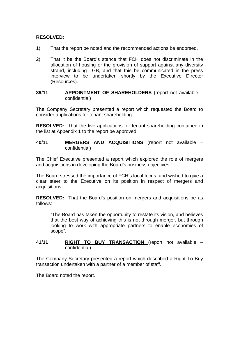#### **RESOLVED:**

- 1) That the report be noted and the recommended actions be endorsed.
- 2) That it be the Board's stance that FCH does not discriminate in the allocation of housing or the provision of support against any diversity strand, including LGB, and that this be communicated in the press interview to be undertaken shortly by the Executive Director (Resources).

#### **39/11 APPOINTMENT OF SHAREHOLDERS** (report not available – confidential)

The Company Secretary presented a report which requested the Board to consider applications for tenant shareholding.

**RESOLVED:** That the five applications for tenant shareholding contained in the list at Appendix 1 to the report be approved.

#### **40/11 MERGERS AND ACQUISITIONS** (report not available – confidential)

The Chief Executive presented a report which explored the role of mergers and acquisitions in developing the Board's business objectives.

The Board stressed the importance of FCH's local focus, and wished to give a clear steer to the Executive on its position in respect of mergers and acquisitions.

**RESOLVED:** That the Board's position on mergers and acquisitions be as follows:

"The Board has taken the opportunity to restate its vision, and believes that the best way of achieving this is not through merger, but through looking to work with appropriate partners to enable economies of scope".

#### **41/11 RIGHT TO BUY TRANSACTION** (report not available – confidential)

The Company Secretary presented a report which described a Right To Buy transaction undertaken with a partner of a member of staff.

The Board noted the report.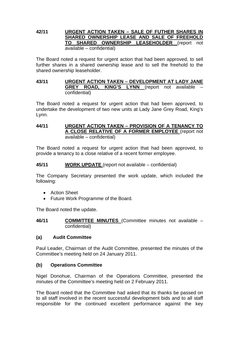#### **42/11 URGENT ACTION TAKEN – SALE OF FUTHER SHARES IN SHARED OWNERSHIP LEASE AND SALE OF FREEHOLD TO SHARED OWNERSHIP LEASEHOLDER** (report not available – confidential)

The Board noted a request for urgent action that had been approved, to sell further shares in a shared ownership lease and to sell the freehold to the shared ownership leaseholder.

#### **43/11 URGENT ACTION TAKEN – DEVELOPMENT AT LADY JANE GREY ROAD, KING'S LYNN** (report not available – confidential)

The Board noted a request for urgent action that had been approved, to undertake the development of two new units at Lady Jane Grey Road, King's Lynn.

#### **44/11 URGENT ACTION TAKEN – PROVISION OF A TENANCY TO A CLOSE RELATIVE OF A FORMER EMPLOYEE** (report not available – confidential)

The Board noted a request for urgent action that had been approved, to provide a tenancy to a close relative of a recent former employee.

#### **45/11 WORK UPDATE** (report not available – confidential)

The Company Secretary presented the work update, which included the following:

- Action Sheet
- Future Work Programme of the Board.

The Board noted the update.

**46/11 COMMITTEE MINUTES** (Committee minutes not available – confidential)

#### **(a) Audit Committee**

Paul Leader, Chairman of the Audit Committee, presented the minutes of the Committee's meeting held on 24 January 2011.

#### **(b) Operations Committee**

Nigel Donohue, Chairman of the Operations Committee, presented the minutes of the Committee's meeting held on 2 February 2011.

The Board noted that the Committee had asked that its thanks be passed on to all staff involved in the recent successful development bids and to all staff responsible for the continued excellent performance against the key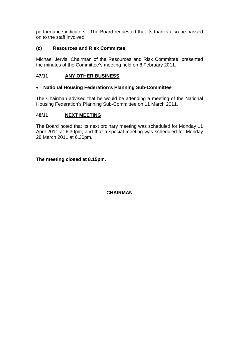performance indicators. The Board requested that its thanks also be passed on to the staff involved.

#### **(c) Resources and Risk Committee**

Michael Jervis, Chairman of the Resources and Risk Committee, presented the minutes of the Committee's meeting held on 8 February 2011.

#### **47/11 ANY OTHER BUSINESS**

#### • **National Housing Federation's Planning Sub-Committee**

The Chairman advised that he would be attending a meeting of the National Housing Federation's Planning Sub-Committee on 11 March 2011.

#### **48/11 NEXT MEETING**

The Board noted that its next ordinary meeting was scheduled for Monday 11 April 2011 at 6.30pm, and that a special meeting was scheduled for Monday 28 March 2011 at 6.30pm.

#### **The meeting closed at 8.15pm.**

#### **CHAIRMAN**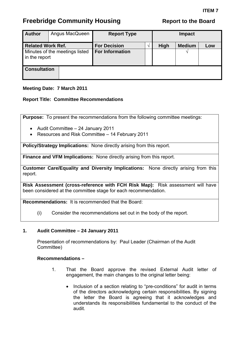<span id="page-13-0"></span>

| <b>Author</b>            | Angus MacQueen                 | <b>Report Type</b>     |      |               | <b>Impact</b> |  |
|--------------------------|--------------------------------|------------------------|------|---------------|---------------|--|
| <b>Related Work Ref.</b> |                                | <b>For Decision</b>    | High | <b>Medium</b> | Low           |  |
| in the report            | Minutes of the meetings listed | <b>For Information</b> |      |               |               |  |
| <b>Consultation</b>      |                                |                        |      |               |               |  |

#### **Meeting Date: 7 March 2011**

#### **Report Title: Committee Recommendations**

**Purpose:** To present the recommendations from the following committee meetings:

- Audit Committee 24 January 2011
- Resources and Risk Committee 14 February 2011

**Policy/Strategy Implications:** None directly arising from this report.

**Finance and VFM Implications:** None directly arising from this report.

**Customer Care/Equality and Diversity Implications:** None directly arising from this report.

**Risk Assessment (cross-reference with FCH Risk Map):** Risk assessment will have been considered at the committee stage for each recommendation.

**Recommendations:** It is recommended that the Board:

(i) Consider the recommendations set out in the body of the report.

#### **1. Audit Committee – 24 January 2011**

Presentation of recommendations by: Paul Leader (Chairman of the Audit Committee)

#### **Recommendations –**

- 1. That the Board approve the revised External Audit letter of engagement, the main changes to the original letter being:
	- Inclusion of a section relating to "pre-conditions" for audit in terms of the directors acknowledging certain responsibilities. By signing the letter the Board is agreeing that it acknowledges and understands its responsibilities fundamental to the conduct of the audit.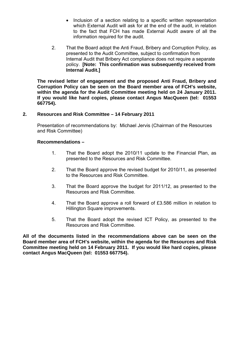- Inclusion of a section relating to a specific written representation which External Audit will ask for at the end of the audit, in relation to the fact that FCH has made External Audit aware of all the information required for the audit.
- 2. That the Board adopt the Anti Fraud, Bribery and Corruption Policy, as presented to the Audit Committee, subject to confirmation from Internal Audit that Bribery Act compliance does not require a separate policy. **[Note: This confirmation was subsequently received from Internal Audit.]**

**The revised letter of engagement and the proposed Anti Fraud, Bribery and Corruption Policy can be seen on the Board member area of FCH's website, within the agenda for the Audit Committee meeting held on 24 January 2011. If you would like hard copies, please contact Angus MacQueen (tel: 01553 667754).** 

#### **2. Resources and Risk Committee – 14 February 2011**

Presentation of recommendations by: Michael Jervis (Chairman of the Resources and Risk Committee)

#### **Recommendations –**

- 1. That the Board adopt the 2010/11 update to the Financial Plan, as presented to the Resources and Risk Committee.
- 2. That the Board approve the revised budget for 2010/11, as presented to the Resources and Risk Committee.
- 3. That the Board approve the budget for 2011/12, as presented to the Resources and Risk Committee.
- 4. That the Board approve a roll forward of £3.586 million in relation to Hillington Square improvements.
- 5. That the Board adopt the revised ICT Policy, as presented to the Resources and Risk Committee.

**All of the documents listed in the recommendations above can be seen on the Board member area of FCH's website, within the agenda for the Resources and Risk Committee meeting held on 14 February 2011. If you would like hard copies, please contact Angus MacQueen (tel: 01553 667754).**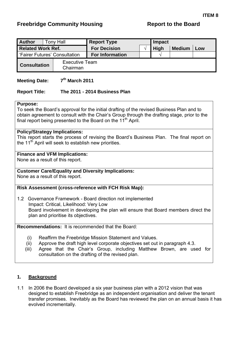## <span id="page-15-0"></span>**Freebridge Community Housing The Report to the Board Report to the Board**

| <b>Author</b>                          | <b>Tony Hall</b>                  | <b>Report Type</b>     | Impact |              |               |     |
|----------------------------------------|-----------------------------------|------------------------|--------|--------------|---------------|-----|
| <b>Related Work Ref.</b>               |                                   | <b>For Decision</b>    |        | <b>High</b>  | <b>Medium</b> | Low |
| <b>S</b> 'Fairer Futures' Consultation |                                   | <b>For Information</b> |        | $\mathbf{v}$ |               |     |
| <b>Consultation</b>                    | <b>Executive Team</b><br>Chairman |                        |        |              |               |     |

### **Meeting Date:** 7<sup>th</sup> March 2011

#### **Report Title: The 2011 - 2014 Business Plan**

#### **Purpose:**

To seek the Board's approval for the initial drafting of the revised Business Plan and to obtain agreement to consult with the Chair's Group through the drafting stage, prior to the final report being presented to the Board on the  $11<sup>th</sup>$  April.

#### **Policy/Strategy Implications:**

This report starts the process of revising the Board's Business Plan. The final report on the 11<sup>th</sup> April will seek to establish new priorities.

#### **Finance and VFM Implications:**

None as a result of this report.

#### **Customer Care/Equality and Diversity Implications:**

None as a result of this report.

#### **Risk Assessment (cross-reference with FCH Risk Map):**

1.2 Governance Framework - Board direction not implemented Impact: Critical, Likelihood: Very Low Board involvement in developing the plan will ensure that Board members direct the plan and prioritise its objectives.

**Recommendations:** It is recommended that the Board:

- (i) Reaffirm the Freebridge Mission Statement and Values.
- (ii) Approve the draft high level corporate objectives set out in paragraph 4.3.
- (iii) Agree that the Chair's Group, including Matthew Brown, are used for consultation on the drafting of the revised plan.

#### **1. Background**

1.1 In 2006 the Board developed a six year business plan with a 2012 vision that was designed to establish Freebridge as an independent organisation and deliver the tenant transfer promises. Inevitably as the Board has reviewed the plan on an annual basis it has evolved incrementally.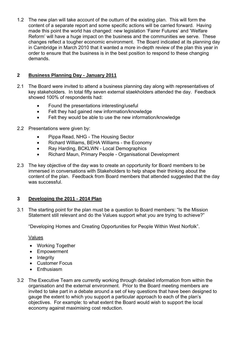1.2 The new plan will take account of the outturn of the existing plan. This will form the content of a separate report and some specific actions will be carried forward. Having made this point the world has changed: new legislation 'Fairer Futures' and 'Welfare Reform' will have a huge impact on the business and the communities we serve. These changes reflect a tougher economic environment. The Board indicated at its planning day in Cambridge in March 2010 that it wanted a more in-depth review of the plan this year in order to ensure that the business is in the best position to respond to these changing demands.

#### **2 Business Planning Day - January 2011**

- 2.1 The Board were invited to attend a business planning day along with representatives of key stakeholders. In total fifty seven external staekholders attended the day. Feedback showed 100% of respondents had:
	- Found the presentations interesting/useful
	- Felt they had gained new information/knowledge
	- Felt they would be able to use the new information/knowledge

#### 2.2 Presentations were given by:

- Pippa Read, NHG The Housing Sector
- Richard Williams, BEHA Williams the Economy
- Ray Harding, BCKLWN Local Demographics
- Richard Maun, Primary People Organisational Development
- 2.3 The key objective of the day was to create an opportunity for Board members to be immersed in conversations with Stakeholders to help shape their thinking about the content of the plan. Feedback from Board members that attended suggested that the day was successful.

#### **3 Developing the 2011 - 2014 Plan**

3.1 The starting point for the plan must be a question to Board members: "Is the Mission Statement still relevant and do the Values support what you are trying to achieve?"

"Developing Homes and Creating Opportunities for People Within West Norfolk".

#### Values

- Working Together
- Empowerment
- Integrity
- Customer Focus
- Enthusiasm
- 3.2 The Executive Team are currently working through detailed information from within the organisation and the external environment. Prior to the Board meeting members are invited to take part in a debate around a set of key questions that have been designed to gauge the extent to which you support a particular approach to each of the plan's objectives. For example: to what extent the Board would wish to support the local economy against maximising cost reduction.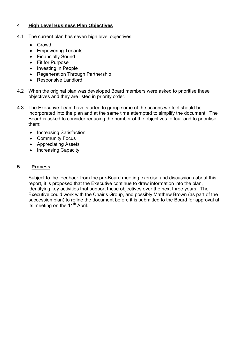#### **4 High Level Business Plan Objectives**

- 4.1 The current plan has seven high level objectives:
	- Growth
	- Empowering Tenants
	- Financially Sound
	- Fit for Purpose
	- Investing in People
	- Regeneration Through Partnership
	- Responsive Landlord
- 4.2 When the original plan was developed Board members were asked to prioritise these objectives and they are listed in priority order.
- 4.3 The Executive Team have started to group some of the actions we feel should be incorporated into the plan and at the same time attempted to simplify the document. The Board is asked to consider reducing the number of the objectives to four and to prioritise them:
	- Increasing Satisfaction
	- Community Focus
	- Appreciating Assets
	- Increasing Capacity

## **5 Process**

Subject to the feedback from the pre-Board meeting exercise and discussions about this report, it is proposed that the Executive continue to draw information into the plan, identifying key activities that support these objectives over the next three years. The Executive could work with the Chair's Group, and possibly Matthew Brown (as part of the succession plan) to refine the document before it is submitted to the Board for approval at its meeting on the  $11<sup>th</sup>$  April.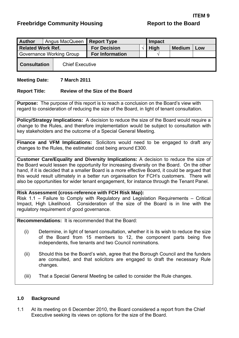<span id="page-18-0"></span>

| <b>Author</b>            |  | Angus MacQueen         | <b>Report Type</b>     | Impact |             |               |     |
|--------------------------|--|------------------------|------------------------|--------|-------------|---------------|-----|
| <b>Related Work Ref.</b> |  |                        | <b>For Decision</b>    |        | <b>High</b> | <b>Medium</b> | Low |
| Governance Working Group |  |                        | <b>For Information</b> |        |             |               |     |
| <b>Consultation</b>      |  | <b>Chief Executive</b> |                        |        |             |               |     |

#### **Meeting Date: 7 March 2011**

#### **Report Title: Review of the Size of the Board**

**Purpose:** The purpose of this report is to reach a conclusion on the Board's view with regard to consideration of reducing the size of the Board, in light of tenant consultation.

**Policy/Strategy Implications:** A decision to reduce the size of the Board would require a change to the Rules, and therefore implementation would be subject to consultation with key stakeholders and the outcome of a Special General Meeting.

**Finance and VFM Implications:** Solicitors would need to be engaged to draft any changes to the Rules, the estimated cost being around £300.

**Customer Care/Equality and Diversity Implications:** A decision to reduce the size of the Board would lessen the opportunity for increasing diversity on the Board. On the other hand, if it is decided that a smaller Board is a more effective Board, it could be argued that this would result ultimately in a better run organisation for FCH's customers. There will also be opportunities for wider tenant engagement, for instance through the Tenant Panel.

#### **Risk Assessment (cross-reference with FCH Risk Map):**

Risk 1.1 – Failure to Comply with Regulatory and Legislation Requirements – Critical Impact, High Likelihood. Consideration of the size of the Board is in line with the regulatory requirement of good governance.

**Recommendations:** It is recommended that the Board:

- (i) Determine, in light of tenant consultation, whether it is its wish to reduce the size of the Board from 15 members to 12, the component parts being five independents, five tenants and two Council nominations.
- (ii) Should this be the Board's wish, agree that the Borough Council and the funders are consulted, and that solicitors are engaged to draft the necessary Rule changes.
- (iii) That a Special General Meeting be called to consider the Rule changes.

#### **1.0 Background**

1.1 At its meeting on 6 December 2010, the Board considered a report from the Chief Executive seeking its views on options for the size of the Board.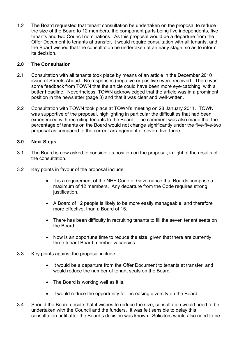1.2 The Board requested that tenant consultation be undertaken on the proposal to reduce the size of the Board to 12 members, the component parts being five independents, five tenants and two Council nominations. As this proposal would be a departure from the Offer Document to tenants at transfer, it would require consultation with all tenants, and the Board wished that the consultation be undertaken at an early stage, so as to inform its decision.

#### **2.0 The Consultation**

- 2.1 Consultation with all tenants took place by means of an article in the December 2010 issue of Streets Ahead. No responses (negative or positive) were received. There was some feedback from TOWN that the article could have been more eye-catching, with a better headline. Nevertheless, TOWN acknowledged that the article was in a prominent position in the newsletter (page 3) and that it was clear and well-written.
- 2.2 Consultation with TOWN took place at TOWN's meeting on 28 January 2011. TOWN was supportive of the proposal, highlighting in particular the difficulties that had been experienced with recruiting tenants to the Board. The comment was also made that the percentage of tenants on the Board would not change significantly under the five-five-two proposal as compared to the current arrangement of seven- five-three.

#### **3.0 Next Steps**

- 3.1 The Board is now asked to consider its position on the proposal, in light of the results of the consultation.
- 3.2 Key points in favour of the proposal include:
	- It is a requirement of the NHF Code of Governance that Boards comprise a maximum of 12 members. Any departure from the Code requires strong justification.
	- A Board of 12 people is likely to be more easily manageable, and therefore more effective, than a Board of 15.
	- There has been difficulty in recruiting tenants to fill the seven tenant seats on the Board.
	- Now is an opportune time to reduce the size, given that there are currently three tenant Board member vacancies.
- 3.3 Key points against the proposal include:
	- It would be a departure from the Offer Document to tenants at transfer, and would reduce the number of tenant seats on the Board.
	- The Board is working well as it is.
	- It would reduce the opportunity for increasing diversity on the Board.
- 3.4 Should the Board decide that it wishes to reduce the size, consultation would need to be undertaken with the Council and the funders. It was felt sensible to delay this consultation until after the Board's decision was known. Solicitors would also need to be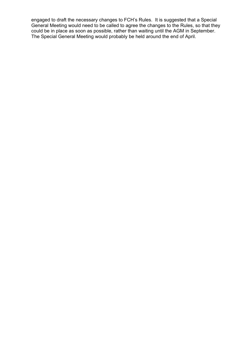engaged to draft the necessary changes to FCH's Rules. It is suggested that a Special General Meeting would need to be called to agree the changes to the Rules, so that they could be in place as soon as possible, rather than waiting until the AGM in September. The Special General Meeting would probably be held around the end of April.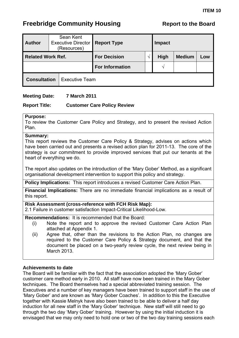<span id="page-21-0"></span>

| <b>Author</b>            | Sean Kent<br><b>Executive Director</b><br>(Resources) | <b>Report Type</b>     | Impact                              |  |  |
|--------------------------|-------------------------------------------------------|------------------------|-------------------------------------|--|--|
| <b>Related Work Ref.</b> |                                                       | <b>For Decision</b>    | <b>High</b><br><b>Medium</b><br>Low |  |  |
|                          |                                                       | <b>For Information</b> | ا^                                  |  |  |
| <b>Consultation</b>      | <b>Executive Team</b>                                 |                        |                                     |  |  |

#### **Meeting Date: 7 March 2011**

#### **Report Title: Customer Care Policy Review**

#### **Purpose:**

To review the Customer Care Policy and Strategy, and to present the revised Action Plan.

#### **Summary:**

This report reviews the Customer Care Policy & Strategy, advises on actions which have been carried out and presents a revised action plan for 2011-13. The core of the strategy is our commitment to provide improved services that put our tenants at the heart of everything we do.

The report also updates on the introduction of the 'Mary Gober' Method, as a significant organisational development intervention to support this policy and strategy.

**Policy Implications:** This report introduces a revised Customer Care Action Plan.

**Financial Implications:** There are no immediate financial implications as a result of this report.

**Risk Assessment (cross-reference with FCH Risk Map):**

2.1 Failure in customer satisfaction Impact-Critical Likelihood-Low.

**Recommendations:** It is recommended that the Board:

- (i) Note the report and to approve the revised Customer Care Action Plan attached at Appendix 1.
- (ii) Agree that, other than the revisions to the Action Plan, no changes are required to the Customer Care Policy & Strategy document, and that the document be placed on a two-yearly review cycle, the next review being in March 2013.

#### **Achievements to date**

The Board will be familiar with the fact that the association adopted the 'Mary Gober' customer care method early in 2010. All staff have now been trained in the Mary Gober techniques. The Board themselves had a special abbreviated training session. The Executives and a number of key managers have been trained to support staff in the use of 'Mary Gober' and are known as 'Mary Gober Coaches'. In addition to this the Executive together with Kassie Melnyk have also been trained to be able to deliver a half day induction for all new staff in the 'Mary Gober' technique. New staff will still need to go through the two day 'Mary Gober' training. However by using the initial induction it is envisaged that we may only need to hold one or two of the two day training sessions each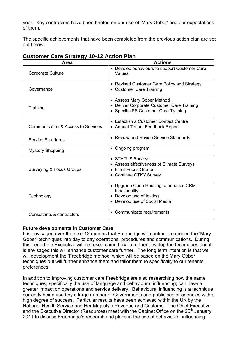year. Key contractors have been briefed on our use of 'Mary Gober' and our expectations of them.

The specific achievements that have been completed from the previous action plan are set out below.

| Area                               | <b>Actions</b>                                                                                                      |
|------------------------------------|---------------------------------------------------------------------------------------------------------------------|
| Corporate Culture                  | • Develop behaviours to support Customer Care<br>Values                                                             |
| Governance                         | • Revised Customer Care Policy and Strategy<br>• Customer Care Training                                             |
| Training                           | • Assess Mary Gober Method<br>• Deliver Corporate Customer Care Training<br>• Specific PS Customer Care Training    |
| Communication & Access to Services | • Establish a Customer Contact Centre<br>• Annual Tenant Feedback Report                                            |
| Service Standards                  | • Review and Revise Service Standards                                                                               |
| <b>Mystery Shopping</b>            | • Ongoing program                                                                                                   |
| Surveying & Focus Groups           | • STATUS Surveys<br>• Assess effectiveness of Climate Surveys<br>• Initial Focus Groups<br>• Continue GTKY Survey   |
| Technology                         | • Upgrade Open Housing to enhance CRM<br>functionality<br>• Develop use of texting<br>• Develop use of Social Media |
| Consultants & contractors          | Communicate requirements                                                                                            |

## **Customer Care Strategy 10-12 Action Plan**

#### **Future developments in Customer Care**

It is envisaged over the next 12 months that Freebridge will continue to embed the 'Mary Gober' techniques into day to day operations, procedures and communications. During this period the Executive will be researching how to further develop the techniques and it is envisaged this will enhance customer care further. The long term intention is that we will development the 'Freebridge method' which will be based on the Mary Gober techniques but will further enhance them and tailor them to specifically to our tenants preferences.

In addition to improving customer care Freebridge are also researching how the same techniques; specifically the use of language and behavioural influencing; can have a greater impact on operations and service delivery. Behavioural influencing is a technique currently being used by a large number of Governments and public sector agencies with a high degree of success. Particular results have been achieved within the UK by the National Health Service and Her Majesty's Revenue and Customs. The Chief Executive and the Executive Director (Resources) meet with the Cabinet Office on the 25<sup>th</sup> January 2011 to discuss Freebridge's research and plans in the use of behavioural influencing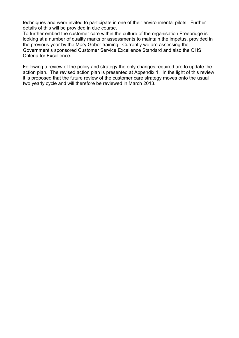techniques and were invited to participate in one of their environmental pilots. Further details of this will be provided in due course.

To further embed the customer care within the culture of the organisation Freebridge is looking at a number of quality marks or assessments to maintain the impetus, provided in the previous year by the Mary Gober training. Currently we are assessing the Government's sponsored Customer Service Excellence Standard and also the QHS Criteria for Excellence.

Following a review of the policy and strategy the only changes required are to update the action plan. The revised action plan is presented at Appendix 1. In the light of this review it is proposed that the future review of the customer care strategy moves onto the usual two yearly cycle and will therefore be reviewed in March 2013.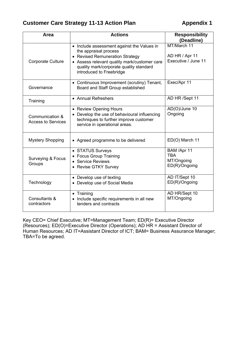## **Customer Care Strategy 11-13 Action Plan Appendix 1**

| Area                                         | <b>Actions</b>                                                                                                                                                                                                                | <b>Responsibility</b><br>(Deadline)                      |
|----------------------------------------------|-------------------------------------------------------------------------------------------------------------------------------------------------------------------------------------------------------------------------------|----------------------------------------------------------|
| <b>Corporate Culture</b>                     | • Include assessment against the Values in<br>the appraisal process<br>• Revised Remuneration Strategy<br>• Assess relevant quality mark/customer care<br>quality mark/corporate quality standard<br>introduced to Freebridge | MT/March 11<br>AD HR / Apr 11<br>Executive / June 11     |
| Governance                                   | • Continuous Improvement (scrutiny) Tenant,<br>Board and Staff Group established                                                                                                                                              | Exec/Apr 11                                              |
| Training                                     | • Annual Refreshers                                                                                                                                                                                                           | AD HR /Sept 11                                           |
| Communication &<br><b>Access to Services</b> | • Review Opening Hours<br>• Develop the use of behavioural influencing<br>techniques to further improve customer<br>service in operational areas.                                                                             | AD(O)/June 10<br>Ongoing                                 |
| <b>Mystery Shopping</b>                      | • Agreed programme to be delivered                                                                                                                                                                                            | ED(O) March 11                                           |
| <b>Surveying &amp; Focus</b><br>Groups       | • STATUS Surveys<br>• Focus Group Training<br>• Service Reviews<br>• Revise GTKY Survey                                                                                                                                       | BAM /Apr 11<br><b>TBA</b><br>MT/Ongoing<br>ED(R)/Ongoing |
| Technology                                   | • Develop use of texting<br>• Develop use of Social Media                                                                                                                                                                     | AD IT/Sept 10<br>ED(R)/Ongoing                           |
| Consultants &<br>contractors                 | • Training<br>• Include specific requirements in all new<br>tenders and contracts                                                                                                                                             | AD HR/Sept 10<br>MT/Ongoing                              |

Key CEO= Chief Executive; MT=Management Team; ED(R)= Executive Director (Resources); ED(O)=Executive Director (Operations); AD HR = Assistant Director of Human Resources; AD IT=Assistant Director of ICT; BAM= Business Assurance Manager; TBA=To be agreed.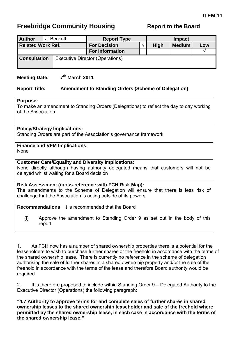<span id="page-25-0"></span>

| <b>Author</b>            | J. Beckett | <b>Report Type</b>              |                                     | <b>Impact</b> |  |  |  |  |
|--------------------------|------------|---------------------------------|-------------------------------------|---------------|--|--|--|--|
| <b>Related Work Ref.</b> |            | <b>For Decision</b>             | <b>High</b><br><b>Medium</b><br>Low |               |  |  |  |  |
|                          |            | <b>For Information</b>          |                                     |               |  |  |  |  |
| <b>Consultation</b>      |            | Executive Director (Operations) |                                     |               |  |  |  |  |

### **Meeting Date:** 7<sup>th</sup> March 2011

#### **Report Title: Amendment to Standing Orders (Scheme of Delegation)**

#### **Purpose:**

To make an amendment to Standing Orders (Delegations) to reflect the day to day working of the Association.

#### **Policy/Strategy Implications:**

Standing Orders are part of the Association's governance framework

#### **Finance and VFM Implications:**  None

#### **Customer Care/Equality and Diversity Implications:**

None directly although having authority delegated means that customers will not be delayed whilst waiting for a Board decision

#### **Risk Assessment (cross-reference with FCH Risk Map):**

The amendments to the Scheme of Delegation will ensure that there is less risk of challenge that the Association is acting outside of its powers

#### **Recommendations:** It is recommended that the Board

(i) Approve the amendment to Standing Order 9 as set out in the body of this report.

1. As FCH now has a number of shared ownership properties there is a potential for the leaseholders to wish to purchase further shares or the freehold in accordance with the terms of the shared ownership lease. There is currently no reference in the scheme of delegation authorising the sale of further shares in a shared ownership property and/or the sale of the freehold in accordance with the terms of the lease and therefore Board authority would be required.

2. It is therefore proposed to include within Standing Order 9 – Delegated Authority to the Executive Director (Operations) the following paragraph:

**"4.7 Authority to approve terms for and complete sales of further shares in shared ownership leases to the shared ownership leaseholder and sale of the freehold where permitted by the shared ownership lease, in each case in accordance with the terms of the shared ownership lease."**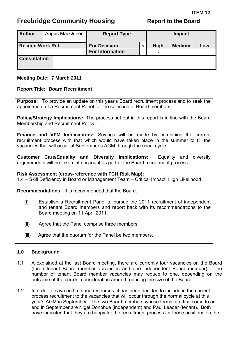<span id="page-26-0"></span>

| <b>Author</b>            | Angus MacQueen | <b>Report Type</b>                            |                                     | Impact |  |  |
|--------------------------|----------------|-----------------------------------------------|-------------------------------------|--------|--|--|
| <b>Related Work Ref.</b> |                | <b>For Decision</b><br><b>For Information</b> | <b>High</b><br><b>Medium</b><br>Low |        |  |  |
| <b>Consultation</b>      |                |                                               |                                     |        |  |  |

#### **Meeting Date: 7 March 2011**

#### **Report Title: Board Recruitment**

**Purpose:** To provide an update on this year's Board recruitment process and to seek the appointment of a Recruitment Panel for the selection of Board members.

**Policy/Strategy Implications:** The process set out in this report is in line with the Board Membership and Recruitment Policy.

**Finance and VFM Implications:** Savings will be made by combining the current recruitment process with that which would have taken place in the summer to fill the vacancies that will occur at September's AGM through the usual cycle.

**Customer Care/Equality and Diversity Implications:** Equality and diversity requirements will be taken into account as part of the Board recruitment process.

**Risk Assessment (cross-reference with FCH Risk Map):**  1.4 – Skill Deficiency in Board or Management Team – Critical Impact, High Likelihood

**Recommendations:** It is recommended that the Board:

- (i) Establish a Recruitment Panel to pursue the 2011 recruitment of independent and tenant Board members and report back with its recommendations to the Board meeting on 11 April 2011.
- (ii) Agree that the Panel comprise three members.
- (iii) Agree that the quorum for the Panel be two members.

#### **1.0 Background**

- 1.1 A explained at the last Board meeting, there are currently four vacancies on the Board (three tenant Board member vacancies and one independent Board member). The number of tenant Board member vacancies may reduce to one, depending on the outcome of the current consideration around reducing the size of the Board.
- 1.2 In order to save on time and resources, it has been decided to include in the current process recruitment to the vacancies that will occur through the normal cycle at this year's AGM in September. The two Board members whose terms of office come to an end in September are Nigel Donohue (independent) and Paul Leader (tenant). Both have indicated that they are happy for the recruitment process for those positions on the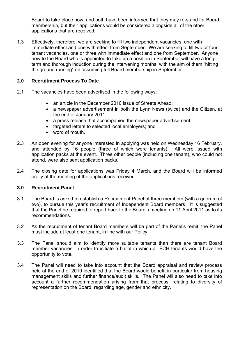Board to take place now, and both have been informed that they may re-stand for Board membership, but their applications would be considered alongside all of the other applications that are received.

1.3 Effectively, therefore, we are seeking to fill two independent vacancies, one with immediate effect and one with effect from September. We are seeking to fill two or four tenant vacancies, one or three with immediate effect and one from September. Anyone new to the Board who is appointed to take up a position in September will have a longterm and thorough induction during the intervening months, with the aim of them "hitting the ground running" on assuming full Board membership in September.

#### **2.0 Recruitment Process To Date**

- 2.1 The vacancies have been advertised in the following ways:
	- an article in the December 2010 issue of Streets Ahead;
	- a newspaper advertisement in both the Lynn News (twice) and the Citizen, at the end of January 2011;
	- a press release that accompanied the newspaper advertisement;
	- targeted letters to selected local employers; and
	- word of mouth.
- 2.3 An open evening for anyone interested in applying was held on Wednesday 16 February, and attended by 16 people (three of which were tenants). All were issued with application packs at the event. Three other people (including one tenant), who could not attend, were also sent application packs.
- 2.4 The closing date for applications was Friday 4 March, and the Board will be informed orally at the meeting of the applications received.

#### **3.0 Recruitment Panel**

- 3.1 The Board is asked to establish a Recruitment Panel of three members (with a quorum of two), to pursue this year's recruitment of Independent Board members. It is suggested that the Panel be required to report back to the Board's meeting on 11 April 2011 as to its recommendations.
- 3.2 As the recruitment of tenant Board members will be part of the Panel's remit, the Panel must include at least one tenant, in line with our Policy
- 3.3 The Panel should aim to identify more suitable tenants than there are tenant Board member vacancies, in order to initiate a ballot in which all FCH tenants would have the opportunity to vote.
- 3.4 The Panel will need to take into account that the Board appraisal and review process held at the end of 2010 identified that the Board would benefit in particular from housing management skills and further finance/audit skills. The Panel will also need to take into account a further recommendation arising from that process, relating to diversity of representation on the Board, regarding age, gender and ethnicity.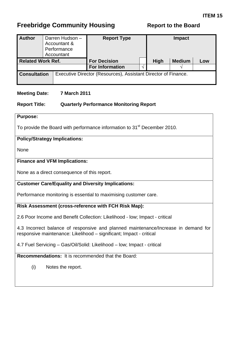<span id="page-28-0"></span>

| <b>Author</b>            |  | Darren Hudson -<br>Accountant &<br>Performance<br>Accountant | <b>Report Type</b>                                             |             | <b>Impact</b> |     |
|--------------------------|--|--------------------------------------------------------------|----------------------------------------------------------------|-------------|---------------|-----|
| <b>Related Work Ref.</b> |  |                                                              | <b>For Decision</b>                                            | <b>High</b> | <b>Medium</b> | Low |
|                          |  |                                                              | <b>For Information</b>                                         |             |               |     |
| <b>Consultation</b>      |  |                                                              | Executive Director (Resources), Assistant Director of Finance. |             |               |     |

#### **Meeting Date: 7 March 2011**

#### **Report Title: Quarterly Performance Monitoring Report**

#### **Purpose:**

To provide the Board with performance information to 31<sup>st</sup> December 2010.

#### **Policy/Strategy Implications:**

None

#### **Finance and VFM Implications:**

None as a direct consequence of this report.

#### **Customer Care/Equality and Diversity Implications:**

Performance monitoring is essential to maximising customer care.

#### **Risk Assessment (cross-reference with FCH Risk Map):**

2.6 Poor Income and Benefit Collection: Likelihood - low; Impact - critical

4.3 Incorrect balance of responsive and planned maintenance/Increase in demand for responsive maintenance: Likelihood – significant; Impact - critical

4.7 Fuel Servicing – Gas/Oil/Solid: Likelihood – low; Impact - critical

**Recommendations:** It is recommended that the Board:

(i) Notes the report.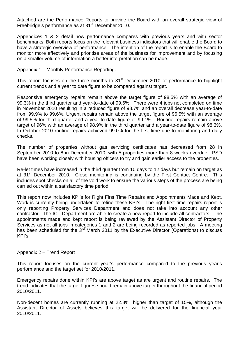Attached are the Performance Reports to provide the Board with an overall strategic view of Freebridge's performance as at 31<sup>st</sup> December 2010.

Appendices 1 & 2 detail how performance compares with previous years and with sector benchmarks. Both reports focus on the relevant business indicators that will enable the Board to have a strategic overview of performance. The intention of the report is to enable the Board to monitor more effectively and prioritise areas of the business for improvement and by focusing on a smaller volume of information a better interpretation can be made.

Appendix 1 – Monthly Performance Reporting.

This report focuses on the three months to 31<sup>st</sup> December 2010 of performance to highlight current trends and a year to date figure to be compared against target.

Responsive emergency repairs remain above the target figure of 98.5% with an average of 99.3% in the third quarter and year-to-date of 99.6%. There were 4 jobs not completed on time in November 2010 resulting in a reduced figure of 98.7% and an overall decrease year-to-date from 99.9% to 99.6%. Urgent repairs remain above the target figure of 96.5% with an average of 99.5% for third quarter and a year-to-date figure of 99.1%. Routine repairs remain above target of 96% with an average of 98.9% in the third quarter and a year-to-date figure of 98.3%. In October 2010 routine repairs achieved 99.0% for the first time due to monitoring and daily checks.

The number of properties without gas servicing certificates has decreased from 28 in September 2010 to 8 in December 2010; with 5 properties more than 8 weeks overdue. PSD have been working closely with housing officers to try and gain earlier access to the properties.

Re-let times have increased in the third quarter from 10 days to 12 days but remain on target as at 31<sup>st</sup> December 2010. Close monitoring is continuing by the First Contact Centre. This includes spot checks on all of the void work to ensure the various steps of the process are being carried out within a satisfactory time period.

This report now includes KPI's for Right First Time Repairs and Appointments Made and Kept. Work is currently being undertaken to refine these KPI's. The right first time repairs report is only reporting Property Services Department and does not take into account any other contractor. The ICT Department are able to create a new report to include all contractors. The appointments made and kept report is being reviewed by the Assistant Director of Property Services as not all jobs in categories 1 and 2 are being recorded as reported jobs. A meeting has been scheduled for the 3<sup>rd</sup> March 2011 by the Executive Director (Operations) to discuss KPI's.

#### Appendix 2 – Trend Report

This report focuses on the current year's performance compared to the previous year's performance and the target set for 2010/2011.

Emergency repairs done within KPI's are above target as are urgent and routine repairs. The trend indicates that the target figures should remain above target throughout the financial period 2010/2011.

Non-decent homes are currently running at 22.8%, higher than target of 15%, although the Assistant Director of Assets believes this target will be delivered for the financial year 2010/2011.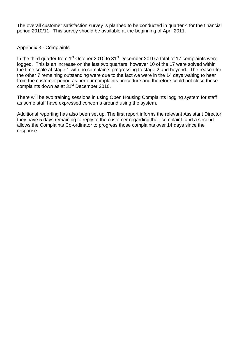The overall customer satisfaction survey is planned to be conducted in quarter 4 for the financial period 2010/11. This survey should be available at the beginning of April 2011.

#### Appendix 3 - Complaints

In the third quarter from  $1<sup>st</sup>$  October 2010 to  $31<sup>st</sup>$  December 2010 a total of 17 complaints were logged. This is an increase on the last two quarters; however 10 of the 17 were solved within the time scale at stage 1 with no complaints progressing to stage 2 and beyond. The reason for the other 7 remaining outstanding were due to the fact we were in the 14 days waiting to hear from the customer period as per our complaints procedure and therefore could not close these complaints down as at 31<sup>st</sup> December 2010.

There will be two training sessions in using Open Housing Complaints logging system for staff as some staff have expressed concerns around using the system.

Additional reporting has also been set up. The first report informs the relevant Assistant Director they have 5 days remaining to reply to the customer regarding their complaint, and a second allows the Complaints Co-ordinator to progress those complaints over 14 days since the response.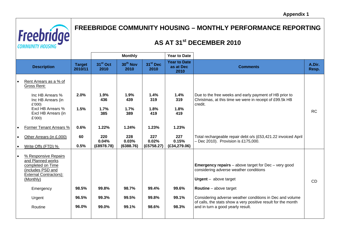

# **FREEBRIDGE COMMUNITY HOUSING – MONTHLY PERFORMANCE REPORTING**

# **AS AT 31st DECEMBER 2010**

|                        |                                                                                                                                                |                          |                              | <b>Monthly</b>               |                              | <b>Year to Date</b>                      |                                                                                                                                                                        |                 |
|------------------------|------------------------------------------------------------------------------------------------------------------------------------------------|--------------------------|------------------------------|------------------------------|------------------------------|------------------------------------------|------------------------------------------------------------------------------------------------------------------------------------------------------------------------|-----------------|
|                        | <b>Description</b>                                                                                                                             | <b>Target</b><br>2010/11 | 31 <sup>st</sup> Oct<br>2010 | 30 <sup>th</sup> Nov<br>2010 | 31 <sup>st</sup> Dec<br>2010 | <b>Year to Date</b><br>as at Dec<br>2010 | <b>Comments</b>                                                                                                                                                        | A.Dir.<br>Resp. |
|                        | Rent Arrears as a % of<br>Gross Rent:                                                                                                          |                          |                              |                              |                              |                                          |                                                                                                                                                                        |                 |
|                        | Inc HB Arrears %<br>Inc HB Arrears (in<br>£'000)                                                                                               | 2.0%                     | 1.9%<br>436                  | 1.9%<br>439                  | 1.4%<br>319                  | 1.4%<br>319                              | Due to the free weeks and early payment of HB prior to<br>Christmas, at this time we were in receipt of £99.5k HB<br>credit.                                           |                 |
|                        | Excl HB Arrears %<br>Excl HB Arrears (in<br>£'000)                                                                                             | 1.5%                     | 1.7%<br>385                  | 1.7%<br>389                  | 1.8%<br>419                  | 1.8%<br>419                              |                                                                                                                                                                        | <b>RC</b>       |
|                        | Former Tenant Arrears %                                                                                                                        | 0.6%                     | 1.22%                        | 1.24%                        | 1.23%                        | 1.23%                                    |                                                                                                                                                                        |                 |
| $\bullet$<br>$\bullet$ | Other Arrears (in £,000)<br>Write Offs (FTD) %                                                                                                 | 60<br>0.5%               | 220<br>0.04%<br>(E8978.78)   | 228<br>0.03%<br>(6388.76)    | 227<br>0.02%<br>(E5758.27)   | 227<br>0.15%<br>(E34, 279.06)            | Total rechargeable repair debt o/s (£53,421.22 invoiced April<br>$-$ Dec 2010). Provision is £175,000.                                                                 |                 |
| $\bullet$              | % Responsive Repairs<br>and Planned works<br>completed on Time<br>(includes PSD and<br><b>External Contractors):</b><br>(Monthly)<br>Emergency | 98.5%                    | 99.8%                        | 98.7%                        | 99.4%                        | 99.6%                                    | <b>Emergency repairs</b> – above target for $Dec -$ very good<br>considering adverse weather conditions<br>$U$ rgent – above target<br><b>Routine</b> $-$ above target | <b>CD</b>       |
|                        | Urgent<br>Routine                                                                                                                              | 96.5%<br>96.0%           | 99.3%<br>99.0%               | 99.5%<br>99.1%               | 99.8%<br>98.6%               | 99.1%<br>98.3%                           | Considering adverse weather conditions in Dec and volume<br>of calls, the stats show a very positive result for the month<br>and in turn a good yearly result.         |                 |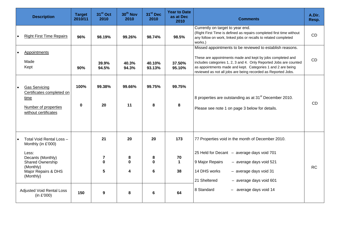| <b>Description</b>                                                                                                                                                                                  | <b>Target</b><br>2010/11 | 31 <sup>st</sup> Oct<br>2010                              | 30 <sup>th</sup> Nov<br>2010  | 31 <sup>st</sup> Dec<br>2010  | <b>Year to Date</b><br>as at Dec<br>2010 | <b>Comments</b>                                                                                                                                                                                                                                                                                                             | A.Dir.<br>Resp. |
|-----------------------------------------------------------------------------------------------------------------------------------------------------------------------------------------------------|--------------------------|-----------------------------------------------------------|-------------------------------|-------------------------------|------------------------------------------|-----------------------------------------------------------------------------------------------------------------------------------------------------------------------------------------------------------------------------------------------------------------------------------------------------------------------------|-----------------|
| <b>Right First Time Repairs</b>                                                                                                                                                                     | 96%                      | 98.19%                                                    | 99.26%                        | 98.74%                        | 98.5%                                    | Currently on target to year end.<br>(Right First Time is defined as repairs completed first time without<br>any follow on work, linked jobs or recalls to related completed<br>works.)                                                                                                                                      | CD              |
| Appointments<br>Made<br>Kept                                                                                                                                                                        | 90%                      | 39.9%<br>94.5%                                            | 40.3%<br>94.3%                | 40.10%<br>93.13%              | 37.50%<br>95.10%                         | Missed appointments to be reviewed to establish reasons.<br>These are appointments made and kept by jobs completed and<br>includes categories 1, 2, 3 and 4. Only Reported Jobs are counted<br>as appointments made and kept. Categories 1 and 2 are being<br>reviewed as not all jobs are being recorded as Reported Jobs. | <b>CD</b>       |
| <b>Gas Servicing</b><br>Certificates completed on<br>time<br>Number of properties<br>without certificates                                                                                           | 100%<br>$\bf{0}$         | 99.38%<br>20                                              | 99.66%<br>11                  | 99.75%<br>8                   | 99.75%<br>8                              | 8 properties are outstanding as at 31 <sup>st</sup> December 2010.<br>Please see note 1 on page 3 below for details.                                                                                                                                                                                                        | <b>CD</b>       |
| Total Void Rental Loss -<br>Monthly (in £'000)<br>Less:<br>Decants (Monthly)<br>Shared Ownership<br>(Monthly)<br>Major Repairs & DHS<br>(Monthly)<br><b>Adjusted Void Rental Loss</b><br>(in £'000) | 150                      | 21<br>$\overline{7}$<br>$\bf{0}$<br>5<br>$\boldsymbol{9}$ | 20<br>8<br>$\Omega$<br>4<br>8 | 20<br>8<br>$\Omega$<br>6<br>6 | 173<br>70<br>$\mathbf 1$<br>38<br>64     | 77 Properties void in the month of December 2010.<br>25 Held for Decant - average days void 701<br>9 Major Repairs<br>- average days void 521<br>14 DHS works<br>$-$ average days void 31<br>21 Sheltered<br>$-$ average days void 601<br>8 Standard<br>- average days void 14                                              | <b>RC</b>       |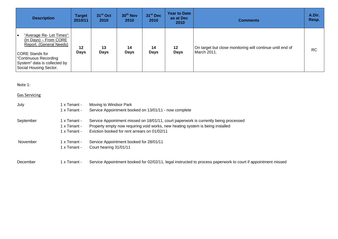| <b>Description</b>                                                                                                                                                                                    | <b>Target</b><br>2010/11 | 31 <sup>st</sup> Oct<br>2010 | 30 <sup>th</sup> Nov<br>2010 | 31 <sup>st</sup> Dec<br>2010 | <b>Year to Date</b><br>as at Dec<br>2010 | <b>Comments</b>                                                          | A.Dir.<br>Resp. |
|-------------------------------------------------------------------------------------------------------------------------------------------------------------------------------------------------------|--------------------------|------------------------------|------------------------------|------------------------------|------------------------------------------|--------------------------------------------------------------------------|-----------------|
| "Average Re- Let Times":<br>$\bullet$<br>(In Days) - From CORE<br>Report. (General Needs)<br><b>CORE Stands for</b><br>Continuous Recording<br>System" data is collected by<br>Social Housing Sector. | $12 \,$<br><b>Days</b>   | 13<br><b>Days</b>            | 14<br><b>Days</b>            | 14<br><b>Days</b>            | 12<br><b>Days</b>                        | On target but close monitoring will continue until end of<br>March 2011. | <b>RC</b>       |

Note 1:

#### <u>Gas Servicing</u>

| July      | 1 x Tenant -<br>1 x Tenant -                 | Moving to Windsor Park<br>Service Appointment booked on 13/01/11 - now complete                                                                                                                                        |
|-----------|----------------------------------------------|------------------------------------------------------------------------------------------------------------------------------------------------------------------------------------------------------------------------|
| September | 1 x Tenant -<br>1 x Tenant -<br>1 x Tenant - | Service Appointment missed on 18/01/11, court paperwork is currently being processed<br>Property empty now requiring void works, new heating system is being installed<br>Eviction booked for rent arrears on 01/02/11 |
| November  | 1 x Tenant -<br>1 x Tenant -                 | Service Appointment booked for 28/01/11<br>Court hearing 31/01/11                                                                                                                                                      |
| December  | 1 x Tenant -                                 | Service Appointment booked for 02/02/11, legal instructed to process paperwork to court if appointment missed                                                                                                          |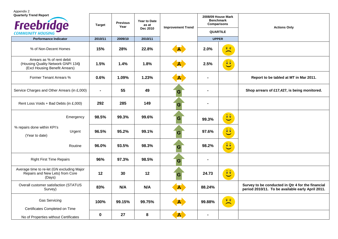Appendix 2 **Quarterly Trend Report 2008/09 House Mark Benchmark Freebridge Target Previous Year Year to Date as at Dec 2010 Comparisons Improvement Trend COMMUNITY HOUSING QUARTILE Performance Indicator 2010/11 2009/10 2010/11 UPPER** $\widehat{\bm v} \cdot \widehat{\bm v}$ % of Non-Decent Homes **15% 28% 22.8% 2.0%**  $2.0%$  $\overline{\phantom{a}}$ Arrears as % of rent debit  $\mathbf{A} = \mathbf{A}$ (Housing Quality Network GNPI 134**) 1.5% 1.4% 1.8% 2.5%** 

| $\sim$ 0.000 0.000 0.000 0.000 0.000 0.000 0.000 0.000 0.000 0.000 0.000 0.000 0.000 0.000 0.000 0.000 0.000 0.000 0.000 0.000 0.000 0.000 0.000 0.00 0.00 0.00 0.00 0.00 0.00 0.00 0.00 0.00 0.00 0.00 0.00 0.00 0.00 0.00 0.0<br>(Housing Quality Network GNPI 134)<br>(Excl Housing Benefit Arrears) | 1.5%  | 1.4%   | 1.8%   | A.           | 2.5%           | $\begin{bmatrix} 0 & 0 \\ 0 & 0 \end{bmatrix}$                            |                                                                                                        |
|---------------------------------------------------------------------------------------------------------------------------------------------------------------------------------------------------------------------------------------------------------------------------------------------------------|-------|--------|--------|--------------|----------------|---------------------------------------------------------------------------|--------------------------------------------------------------------------------------------------------|
| Former Tenant Arrears %                                                                                                                                                                                                                                                                                 | 0.6%  | 1.09%  | 1.23%  | ${\bf A}$    | $\blacksquare$ |                                                                           | Report to be tabled at MT in Mar 2011.                                                                 |
| Service Charges and Other Arrears (in £,000)                                                                                                                                                                                                                                                            |       | 55     | 49     | G            | $\blacksquare$ |                                                                           | Shop arrears of £17,427, is being monitored.                                                           |
| Rent Loss Voids + Bad Debts (in £,000)                                                                                                                                                                                                                                                                  | 292   | 285    | 149    | G            | ٠              |                                                                           |                                                                                                        |
| Emergency                                                                                                                                                                                                                                                                                               | 98.5% | 99.3%  | 99.6%  | G            | 99.3%          | $\widehat{\bullet}$ $\widehat{\bullet}$                                   |                                                                                                        |
| % repairs done within KPI's<br>Urgent<br>(Year to date)                                                                                                                                                                                                                                                 | 96.5% | 95.2%  | 99.1%  | G            | 97.6%          | $\boxed{\mathbf{0} \ \mathbf{0}}$                                         |                                                                                                        |
| Routine                                                                                                                                                                                                                                                                                                 | 96.0% | 93.5%  | 98.3%  | G            | 98.2%          | $\hat{c}$                                                                 |                                                                                                        |
| <b>Right First Time Repairs</b>                                                                                                                                                                                                                                                                         | 96%   | 97.3%  | 98.5%  | G            |                |                                                                           |                                                                                                        |
| Average time to re-let (GN excluding Major<br>Repairs and New Lets) from Core<br>(Days)                                                                                                                                                                                                                 | 12    | 30     | 12     | G            | 24.73          | $\widehat{\bullet}$                                                       |                                                                                                        |
| Overall customer satisfaction (STATUS<br>Survey)                                                                                                                                                                                                                                                        | 83%   | N/A    | N/A    | <u>A , </u>  | 88.24%         |                                                                           | Survey to be conducted in Qtr 4 for the financial<br>period 2010/11. To be available early April 2011. |
| <b>Gas Servicing</b><br>Certificates Completed on Time                                                                                                                                                                                                                                                  | 100%  | 99.15% | 99.75% | $\mathbf{A}$ | 99.88%         | $\widehat{\mathbf{v}}$ $\widehat{\mathbf{v}}$<br>$\overline{\phantom{0}}$ |                                                                                                        |
| No of Properties without Certificates                                                                                                                                                                                                                                                                   | 0     | 27     | 8      | $\mathbf{A}$ | $\blacksquare$ |                                                                           |                                                                                                        |

**Actions Only**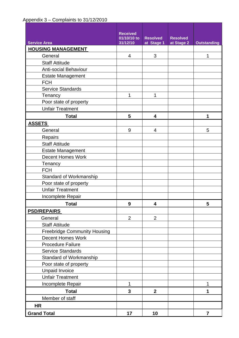## Appendix 3 – Complaints to 31/12/2010

|                                     | <b>Received</b>  |                 |                 |                    |
|-------------------------------------|------------------|-----------------|-----------------|--------------------|
|                                     | 01/10/10 to      | <b>Resolved</b> | <b>Resolved</b> |                    |
| <b>Service Area</b>                 | 31/12/10         | at Stage 1      | at Stage 2      | <b>Outstanding</b> |
| <b>HOUSING MANAGEMENT</b>           |                  |                 |                 |                    |
| General                             | 4                | 3               |                 | 1                  |
| <b>Staff Attitude</b>               |                  |                 |                 |                    |
| <b>Anti-social Behaviour</b>        |                  |                 |                 |                    |
| <b>Estate Management</b>            |                  |                 |                 |                    |
| <b>FCH</b>                          |                  |                 |                 |                    |
| <b>Service Standards</b>            |                  |                 |                 |                    |
| Tenancy                             | 1                | 1               |                 |                    |
| Poor state of property              |                  |                 |                 |                    |
| <b>Unfair Treatment</b>             |                  |                 |                 |                    |
| <b>Total</b>                        | 5                | 4               |                 | 1                  |
| <b>ASSETS</b>                       |                  |                 |                 |                    |
| General                             | 9                | 4               |                 | 5                  |
| Repairs                             |                  |                 |                 |                    |
| <b>Staff Attitude</b>               |                  |                 |                 |                    |
| <b>Estate Management</b>            |                  |                 |                 |                    |
| <b>Decent Homes Work</b>            |                  |                 |                 |                    |
| Tenancy                             |                  |                 |                 |                    |
| <b>FCH</b>                          |                  |                 |                 |                    |
| Standard of Workmanship             |                  |                 |                 |                    |
| Poor state of property              |                  |                 |                 |                    |
| <b>Unfair Treatment</b>             |                  |                 |                 |                    |
| Incomplete Repair                   |                  |                 |                 |                    |
| <b>Total</b>                        | $\boldsymbol{9}$ | 4               |                 | 5                  |
| <b>PSD/REPAIRS</b>                  |                  |                 |                 |                    |
| General                             | $\overline{2}$   | $\overline{2}$  |                 |                    |
| <b>Staff Attitude</b>               |                  |                 |                 |                    |
| <b>Freebridge Community Housing</b> |                  |                 |                 |                    |
| <b>Decent Homes Work</b>            |                  |                 |                 |                    |
| <b>Procedure Failure</b>            |                  |                 |                 |                    |
| <b>Service Standards</b>            |                  |                 |                 |                    |
| Standard of Workmanship             |                  |                 |                 |                    |
| Poor state of property              |                  |                 |                 |                    |
| Unpaid Invoice                      |                  |                 |                 |                    |
| <b>Unfair Treatment</b>             |                  |                 |                 |                    |
| Incomplete Repair                   | 1                |                 |                 | 1                  |
| <b>Total</b>                        | 3                | $\mathbf{2}$    |                 | 1                  |
| Member of staff                     |                  |                 |                 |                    |
| <b>HR</b>                           |                  |                 |                 |                    |
| <b>Grand Total</b>                  | 17               | 10              |                 | $\overline{7}$     |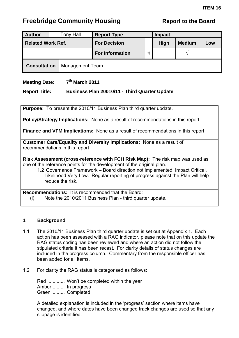<span id="page-37-0"></span>

| <b>Author</b>            |  | Tony Hall              | <b>Report Type</b>     | <b>Impact</b> |             |               |     |  |
|--------------------------|--|------------------------|------------------------|---------------|-------------|---------------|-----|--|
| <b>Related Work Ref.</b> |  |                        | <b>For Decision</b>    |               | <b>High</b> | <b>Medium</b> | Low |  |
|                          |  |                        | <b>For Information</b> | $\mathcal{N}$ |             |               |     |  |
| <b>Consultation</b>      |  | <b>Management Team</b> |                        |               |             |               |     |  |

### **Meeting Date:** 7<sup>th</sup> March 2011

#### **Report Title: Business Plan 20010/11 - Third Quarter Update**

**Purpose:** To present the 2010/11 Business Plan third quarter update.

**Policy/Strategy Implications:** None as a result of recommendations in this report

**Finance and VFM Implications:** None as a result of recommendations in this report

**Customer Care/Equality and Diversity Implications:** None as a result of recommendations in this report

**Risk Assessment (cross-reference with FCH Risk Map):** The risk map was used as one of the reference points for the development of the original plan.

1.2 Governance Framework – Board direction not implemented, Impact Critical, Likelihood Very Low. Regular reporting of progress against the Plan will help reduce the risk.

**Recommendations:** It is recommended that the Board: (i) Note the 2010/2011 Business Plan - third quarter update.

#### **1 Background**

- 1.1 The 2010/11 Business Plan third quarter update is set out at Appendix 1. Each action has been assessed with a RAG indicator, please note that on this update the RAG status coding has been reviewed and where an action did not follow the stipulated criteria it has been recast. For clarity details of status changes are included in the progress column. Commentary from the responsible officer has been added for all items.
- 1.2 For clarity the RAG status is categorised as follows:

 Red ............ Won't be completed within the year Amber ......... In progress Green ......... Completed

 A detailed explanation is included in the 'progress' section where items have changed, and where dates have been changed track changes are used so that any slippage is identified.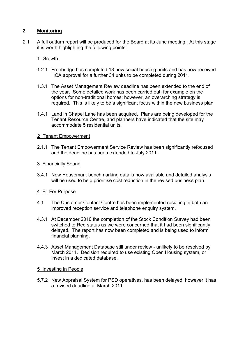#### **2 Monitoring**

2.1 A full outturn report will be produced for the Board at its June meeting. At this stage it is worth highlighting the following points:

#### 1 Growth

- 1.2.1 Freebridge has completed 13 new social housing units and has now received HCA approval for a further 34 units to be completed during 2011.
- 1.3.1 The Asset Management Review deadline has been extended to the end of the year. Some detailed work has been carried out; for example on the options for non-traditional homes; however, an overarching strategy is required. This is likely to be a significant focus within the new business plan
- 1.4.1 Land in Chapel Lane has been acquired. Plans are being developed for the Tenant Resource Centre, and planners have indicated that the site may accommodate 5 residential units.

#### 2 Tenant Empowerment

2.1.1 The Tenant Empowerment Service Review has been significantly refocused and the deadline has been extended to July 2011.

#### 3 Financially Sound

3.4.1 New Housemark benchmarking data is now available and detailed analysis will be used to help prioritise cost reduction in the revised business plan.

#### 4 Fit For Purpose

- 4.1 The Customer Contact Centre has been implemented resulting in both an improved reception service and telephone enquiry system.
- 4.3.1 At December 2010 the completion of the Stock Condition Survey had been switched to Red status as we were concerned that it had been significantly delayed. The report has now been completed and is being used to inform financial planning.
- 4.4.3 Asset Management Database still under review unlikely to be resolved by March 2011. Decision required to use existing Open Housing system, or invest in a dedicated database.

#### 5 Investing in People

5.7.2 New Appraisal System for PSD operatives, has been delayed, however it has a revised deadline at March 2011.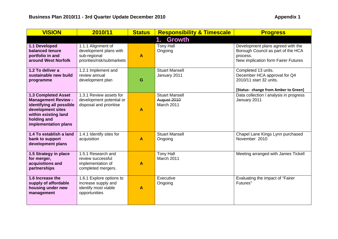| <b>VISION</b>                                                                                                                                                            | 2010/11                                                                                    | <b>Status</b>    | <b>Responsibility &amp; Timescale</b>              | <b>Progress</b>                                                                                                            |
|--------------------------------------------------------------------------------------------------------------------------------------------------------------------------|--------------------------------------------------------------------------------------------|------------------|----------------------------------------------------|----------------------------------------------------------------------------------------------------------------------------|
|                                                                                                                                                                          |                                                                                            |                  | <b>Growth</b><br>1.                                |                                                                                                                            |
| 1.1 Developed<br>balanced tenure<br>portfolio in and<br>around West Norfolk                                                                                              | 1.1.1 Alignment of<br>development plans with<br>sub-regional<br>priorities/risk/submarkets | $\blacktriangle$ | <b>Tony Hall</b><br>Ongoing                        | Development plans agreed with the<br>Borough Council as part of the HCA<br>process.<br>New implication form Fairer Futures |
| 1.2 To deliver a<br>sustainable new build<br>programme                                                                                                                   | 1.2.1 Implement and<br>review annual<br>development plan                                   | G                | <b>Stuart Mansell</b><br>January 2011              | Completed 13 units.<br>December HCA approval for Q4<br>2010/11 start 32 units.<br>[Status- change from Amber to Green]     |
| <b>1.3 Completed Asset</b><br><b>Management Review -</b><br>identifying all possible<br>development sites<br>within existing land<br>holding and<br>implementation plans | 1.3.1 Review assets for<br>development potential or<br>disposal and prioritise             | A                | <b>Stuart Mansell</b><br>August 2010<br>March 2011 | Data collection / analysis in progress<br>January 2011                                                                     |
| 1.4 To establish a land<br>bank to support<br>development plans                                                                                                          | 1.4.1 Identify sites for<br>acquisition                                                    | $\blacktriangle$ | <b>Stuart Mansell</b><br>Ongoing                   | Chapel Lane Kings Lynn purchased<br>November 2010                                                                          |
| 1.5 Strategy in place<br>for merger,<br>acquisitions and<br>partnerships                                                                                                 | 1.5.1 Research and<br>review successful<br>implementation of<br>completed mergers.         | A                | <b>Tony Hall</b><br>March 2011                     | Meeting arranged with James Tickell                                                                                        |
| 1.6 Increase the<br>supply of affordable<br>housing under new<br>management                                                                                              | 1.6.1 Explore options to<br>increase supply and<br>identify most viable<br>opportunities   | $\blacktriangle$ | Executive<br>Ongoing                               | Evaluating the impact of "Fairer<br>Futures"                                                                               |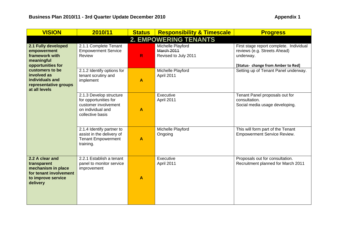| <b>VISION</b>                                                                                                    | 2010/11                                                                                                           | <b>Status</b>    | <b>Responsibility &amp; Timescale</b>                          | <b>Progress</b>                                                                                                            |
|------------------------------------------------------------------------------------------------------------------|-------------------------------------------------------------------------------------------------------------------|------------------|----------------------------------------------------------------|----------------------------------------------------------------------------------------------------------------------------|
|                                                                                                                  |                                                                                                                   |                  | <b>2. EMPOWERING TENANTS</b>                                   |                                                                                                                            |
| 2.1 Fully developed<br>empowerment<br>framework with<br>meaningful<br>opportunities for                          | 2.1.1 Complete Tenant<br><b>Empowerment Service</b><br>Review                                                     | $\mathsf{R}$     | Michelle Playford<br><b>March 2011</b><br>Revised to July 2011 | First stage report complete. Individual<br>reviews (e.g. Streets Ahead)<br>underway.<br>[Status- change from Amber to Red] |
| customers to be<br>involved as<br>individuals and<br>representative groups<br>at all levels                      | 2.1.2 Identify options for<br>tenant scrutiny and<br>implement                                                    | $\boldsymbol{A}$ | Michelle Playford<br>April 2011                                | Setting up of Tenant Panel underway.                                                                                       |
|                                                                                                                  | 2.1.3 Develop structure<br>for opportunities for<br>customer involvement<br>on individual and<br>collective basis | A                | Executive<br>April 2011                                        | Tenant Panel proposals out for<br>consultation.<br>Social media usage developing.                                          |
|                                                                                                                  | 2.1.4 Identify partner to<br>assist in the delivery of<br><b>Tenant Empowerment</b><br>training.                  | $\blacktriangle$ | Michelle Playford<br>Ongoing                                   | This will form part of the Tenant<br><b>Empowerment Service Review.</b>                                                    |
| 2.2 A clear and<br>transparent<br>mechanism in place<br>for tenant involvement<br>to improve service<br>delivery | 2.2.1 Establish a tenant<br>panel to monitor service<br>improvement                                               | A                | Executive<br>April 2011                                        | Proposals out for consultation.<br>Recruitment planned for March 2011                                                      |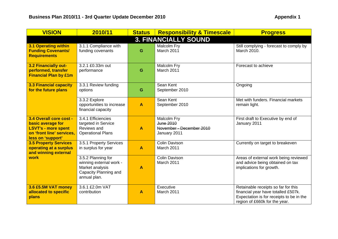| <b>VISION</b>                                                                                                                | 2010/11                                                                                                   | <b>Status</b> | <b>Responsibility &amp; Timescale</b>                                | <b>Progress</b>                                                                                                                                         |
|------------------------------------------------------------------------------------------------------------------------------|-----------------------------------------------------------------------------------------------------------|---------------|----------------------------------------------------------------------|---------------------------------------------------------------------------------------------------------------------------------------------------------|
|                                                                                                                              |                                                                                                           |               | <b>3. FINANCIALLY SOUND</b>                                          |                                                                                                                                                         |
| <b>3.1 Operating within</b><br><b>Funding Covenants/</b><br><b>Requirements</b>                                              | 3.1.1 Compliance with<br>funding covenants                                                                | G             | Malcolm Fry<br>March 2011                                            | Still complying - forecast to comply by<br>March 2010.                                                                                                  |
| 3.2 Financially out-<br>performed, transfer<br><b>Financial Plan by £1m</b>                                                  | 3.2.1 £0.33m out<br>performance                                                                           | G             | Malcolm Fry<br>March 2011                                            | Forecast to achieve                                                                                                                                     |
| <b>3.3 Financial capacity</b><br>for the future plans                                                                        | 3.3.1 Review funding<br>options                                                                           | G             | Sean Kent<br>September 2010                                          | Ongoing                                                                                                                                                 |
|                                                                                                                              | 3.3.2 Explore<br>opportunities to increase<br>financial capacity                                          | A             | Sean Kent<br>September 2010                                          | Met with funders. Financial markets<br>remain light.                                                                                                    |
| 3.4 Overall core cost -<br>basic average for<br><b>LSVT's - more spent</b><br>on 'front line' services,<br>less on 'support' | 3.4.1 Efficiencies<br>targeted in Service<br>Reviews and<br><b>Operational Plans</b>                      | A             | Malcolm Fry<br>June 2010<br>November - December 2010<br>January 2011 | First draft to Executive by end of<br>January 2011                                                                                                      |
| <b>3.5 Property Services</b><br>operating at a surplus<br>and winning external                                               | 3.5.1 Property Services<br>in surplus for year                                                            | A             | <b>Colin Davison</b><br>March 2011                                   | Currently on target to breakeven                                                                                                                        |
| work                                                                                                                         | 3.5.2 Planning for<br>winning external work -<br>Market analysis<br>Capacity Planning and<br>annual plan. | A             | <b>Colin Davison</b><br>March 2011                                   | Areas of external work being reviewed<br>and advice being obtained on tax<br>implications for growth.                                                   |
| 3.6 £5.5M VAT money<br>allocated to specific<br>plans                                                                        | 3.6.1 £2.0m VAT<br>contribution                                                                           | A             | Executive<br>March 2011                                              | Retainable receipts so far for this<br>financial year have totalled £507k.<br>Expectation is for receipts to be in the<br>region of £660k for the year. |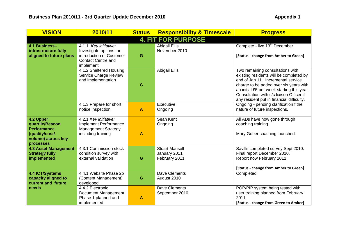| <b>VISION</b>                                                                                           | 2010/11                                                                                                                | <b>Status</b>    | <b>Responsibility &amp; Timescale</b>                  | <b>Progress</b>                                                                                                                                                                                                                                                                                    |
|---------------------------------------------------------------------------------------------------------|------------------------------------------------------------------------------------------------------------------------|------------------|--------------------------------------------------------|----------------------------------------------------------------------------------------------------------------------------------------------------------------------------------------------------------------------------------------------------------------------------------------------------|
|                                                                                                         |                                                                                                                        |                  | <b>4. FIT FOR PURPOSE</b>                              |                                                                                                                                                                                                                                                                                                    |
| 4.1 Business-<br>infrastructure fully<br>aligned to future plans                                        | 4.1.1 Key initiative:<br>Investigate options for<br>introduction of Customer<br><b>Contact Centre and</b><br>implement | G                | <b>Abigail Ellis</b><br>November 2010                  | Complete - live 13 <sup>th</sup> December<br>[Status - change from Amber to Green]                                                                                                                                                                                                                 |
|                                                                                                         | 4.1.2 Sheltered Housing<br><b>Service Charge Review</b><br>and implementation                                          | G                | <b>Abigail Ellis</b>                                   | Two remaining consultations with<br>existing residents will be completed by<br>end of Jan 11. Incremental service<br>charge to be added over six years with<br>an initial £5 per week starting this year.<br>Consultation with s/c liaison Officer if<br>any resident put in financial difficulty. |
|                                                                                                         | 4.1.3 Prepare for short<br>notice inspection.                                                                          | $\boldsymbol{A}$ | Executive<br>Ongoing                                   | Ongoing - pending clarification f the<br>nature of future inspections.                                                                                                                                                                                                                             |
| 4.2 Upper<br>quartile/Beacon<br><b>Performance</b><br>(quality/cost/<br>volume) across key<br>processes | 4.2.1 Key initiative:<br>Implement Performance<br><b>Management Strategy</b><br>including training                     | $\boldsymbol{A}$ | Sean Kent<br>Ongoing                                   | All ADs have now gone through<br>coaching training.<br>Mary Gober coaching launched.                                                                                                                                                                                                               |
| <b>4.3 Asset Management</b><br><b>Strategy fully</b><br>implemented                                     | 4.3.1 Commission stock<br>condition survey with<br>external validation                                                 | G                | <b>Stuart Mansell</b><br>January 2011<br>February 2011 | Savills completed survey Sept 2010.<br>Final report December 2010.<br>Report now February 2011.<br>[Status - change from Amber to Green]                                                                                                                                                           |
| <b>4.4 ICT/Systems</b><br>capacity aligned to<br>current and future                                     | 4.4.1 Website Phase 2b<br>(Content Management)<br>developed                                                            | G                | <b>Dave Clements</b><br>August 2010                    | Completed                                                                                                                                                                                                                                                                                          |
| needs                                                                                                   | 4.4.2 Electronic<br>Document Management<br>Phase 1 planned and<br>implemented                                          | A                | Dave Clements<br>September 2010                        | POP/PIP system being tested with<br>user training planned from February<br>2011<br>[Status - change from Green to Amber]                                                                                                                                                                           |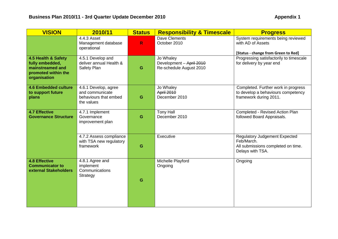| <b>VISION</b>                                                                                     | 2010/11                                                                        | <b>Status</b> | <b>Responsibility &amp; Timescale</b>                            | <b>Progress</b>                                                                                              |
|---------------------------------------------------------------------------------------------------|--------------------------------------------------------------------------------|---------------|------------------------------------------------------------------|--------------------------------------------------------------------------------------------------------------|
|                                                                                                   | 4.4.3 Asset<br>Management database<br>operational                              | $\mathbb{R}$  | Dave Clements<br>October 2010                                    | System requirements being reviewed<br>with AD of Assets<br>[Status - change from Green to Red]               |
| 4.5 Health & Safety<br>fully embedded,<br>mainstreamed and<br>promoted within the<br>organisation | 4.5.1 Develop and<br>deliver annual Health &<br>Safety Plan                    | G             | Jo Whaley<br>Development - April 2010<br>Re-schedule August 2010 | Progressing satisfactorily to timescale<br>for delivery by year end                                          |
| <b>4.6 Embedded culture</b><br>to support future<br>plans                                         | 4.6.1 Develop, agree<br>and communicate<br>behaviours that embed<br>the values | G             | Jo Whaley<br>April 2010<br>December 2010                         | Completed. Further work in progress<br>to develop a behaviours competency<br>framework during 2011.          |
| <b>4.7 Effective</b><br><b>Governance Structure</b>                                               | 4.7.1 Implement<br>Governance<br>improvement plan                              | G             | <b>Tony Hall</b><br>December 2010                                | Completed - Revised Action Plan<br>followed Board Appraisals.                                                |
|                                                                                                   | 4.7.2 Assess compliance<br>with TSA new regulatory<br>framework                | G             | Executive                                                        | <b>Regulatory Judgement Expected</b><br>Feb/March.<br>All submissions completed on time.<br>Delays with TSA. |
| <b>4.8 Effective</b><br><b>Communicator to</b><br>external Stakeholders                           | 4.8.1 Agree and<br>implement<br>Communications<br>Strategy                     | G             | Michelle Playford<br>Ongoing                                     | Ongoing                                                                                                      |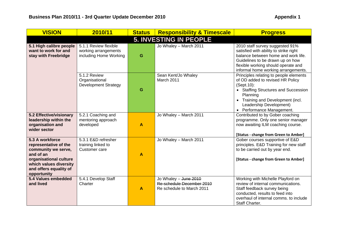| <b>VISION</b>                                                                                                                                                             | 2010/11                                                                 | <b>Status</b>           | <b>Responsibility &amp; Timescale</b>                                           | <b>Progress</b>                                                                                                                                                                                                                                                 |
|---------------------------------------------------------------------------------------------------------------------------------------------------------------------------|-------------------------------------------------------------------------|-------------------------|---------------------------------------------------------------------------------|-----------------------------------------------------------------------------------------------------------------------------------------------------------------------------------------------------------------------------------------------------------------|
|                                                                                                                                                                           |                                                                         |                         | <b>5. INVESTING IN PEOPLE</b>                                                   |                                                                                                                                                                                                                                                                 |
| 5.1 High calibre people<br>want to work for and<br>stay with Freebridge                                                                                                   | 5.1.1 Review flexible<br>working arrangements<br>including Home Working | G                       | Jo Whaley - March 2011                                                          | 2010 staff survey suggested 91%<br>satisfied with ability to strike right<br>balance between home and work life.<br>Guidelines to be drawn up on how<br>flexible working should operate and<br>informal home working arrangements.                              |
|                                                                                                                                                                           | 5.1.2 Review<br>Organisational<br><b>Development Strategy</b>           | G                       | Sean Kent/Jo Whaley<br>March 2011                                               | Principles relating to people elements<br>of OD added to revised HR Policy<br>(Sept.10):<br>• Staffing Structures and Succession<br>Planning<br>Training and Development (incl.<br>$\bullet$<br>Leadership Development)<br>Performance Management.<br>$\bullet$ |
| 5.2 Effective/visionary<br>leadership within the<br>organisation and<br>wider sector                                                                                      | 5.2.1 Coaching and<br>mentoring approach<br>developed                   | A                       | Jo Whaley - March 2011                                                          | Contributed to by Gober coaching<br>programme. Only one senior manager<br>now awaiting ILM coaching course.<br>[Status - change from Green to Amber]                                                                                                            |
| 5.3 A workforce<br>representative of the<br>community we serve,<br>and of an<br>organisational culture<br>which values diversity<br>and offers equality of<br>opportunity | 5.3.1 E&D refresher<br>training linked to<br>Customer care              | $\overline{\mathsf{A}}$ | Jo Whaley - March 2011                                                          | Gober courses supportive of E&D<br>principles. E&D Training for new staff<br>to be carried out by year end.<br>[Status - change from Green to Amber]                                                                                                            |
| 5.4 Values embedded<br>and lived                                                                                                                                          | 5.4.1 Develop Staff<br>Charter                                          | A                       | Jo Whaley - June 2010<br>Re-schedule December 2010<br>Re schedule to March 2011 | Working with Michelle Playford on<br>review of internal communications.<br>Staff feedback survey being<br>conducted, results to feed into<br>overhaul of internal comms, to include<br>Staff Charter.                                                           |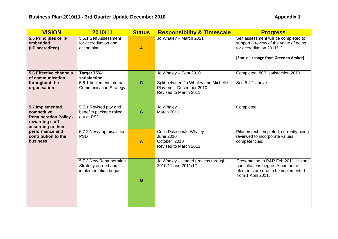| <b>VISION</b>                                                                                           | 2010/11                                                                                 | <b>Status</b> | <b>Responsibility &amp; Timescale</b>                                                                              | <b>Progress</b>                                                                                                                                       |
|---------------------------------------------------------------------------------------------------------|-----------------------------------------------------------------------------------------|---------------|--------------------------------------------------------------------------------------------------------------------|-------------------------------------------------------------------------------------------------------------------------------------------------------|
| 5.5 Principles of IIP<br>embedded<br>(IIP accredited)                                                   | 5.5.1 Self Assessment<br>for accreditation and<br>action plan                           | A             | Jo Whaley - March 2011                                                                                             | Self assessment will be completed to<br>support a review of the value of going<br>for accreditation 2011/12.<br>[Status - change from Green to Amber] |
| 5.6 Effective channels<br>of communication<br>throughout the<br>organisation                            | Target 75%<br>satisfaction<br>5.6.1 Implement internal<br><b>Communication Strategy</b> | G             | Jo Whaley - Sept 2010<br>Split between Jo Whaley and Michelle<br>Playford - December 2010<br>Revised to March 2011 | Completed. 80% satisfaction 2010.<br>See 5.4.1 above.                                                                                                 |
| 5.7 Implemented<br>competitive<br><b>Remuneration Policy -</b><br>rewarding staff<br>according to their | 5.7.1 Revised pay and<br>benefits package rolled<br>out at PSD                          | G             | Jo Whaley<br><b>March 2011</b>                                                                                     | Completed                                                                                                                                             |
| performance and<br>contribution to the<br><b>business</b>                                               | 5.7.2 New appraisals for<br><b>PSD</b>                                                  | A             | Colin Davison/Jo Whaley<br>June 2010<br>October 2010<br>Revised to March 2011.                                     | Pilot project completed, currently being<br>reviewed to incorporate values<br>competencies.                                                           |
|                                                                                                         | 5.7.3 New Remuneration<br>Strategy agreed and<br>implementation begun                   | G             | Jo Whaley - staged process through<br>2010/11 and 2011/12                                                          | Presentation to R&R Feb 2011, Union<br>consultations begun. A number of<br>elements are due to be implemented<br>from 1 April 2011.                   |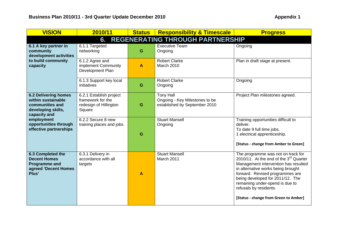| <b>VISION</b>                                                                                              | 2010/11                                                                          | <b>Status</b> | <b>Responsibility &amp; Timescale</b>                                               | <b>Progress</b>                                                                                                                                                                                                                                                                                                                           |  |  |  |
|------------------------------------------------------------------------------------------------------------|----------------------------------------------------------------------------------|---------------|-------------------------------------------------------------------------------------|-------------------------------------------------------------------------------------------------------------------------------------------------------------------------------------------------------------------------------------------------------------------------------------------------------------------------------------------|--|--|--|
| <b>REGENERATING THROUGH PARTNERSHIP</b><br>6.                                                              |                                                                                  |               |                                                                                     |                                                                                                                                                                                                                                                                                                                                           |  |  |  |
| 6.1 A key partner in<br>community<br>development activities                                                | 6.1.1 Targeted<br>networking                                                     | G             | <b>Executive Team</b><br>Ongoing                                                    | Ongoing                                                                                                                                                                                                                                                                                                                                   |  |  |  |
| to build community<br>capacity                                                                             | 6.1.2 Agree and<br>implement Community<br>Development Plan                       | A             | <b>Robert Clarke</b><br><b>March 2010</b>                                           | Plan in draft stage at present.                                                                                                                                                                                                                                                                                                           |  |  |  |
|                                                                                                            | 6.1.3 Support key local<br>initiatives                                           | G             | <b>Robert Clarke</b><br>Ongoing                                                     | Ongoing                                                                                                                                                                                                                                                                                                                                   |  |  |  |
| <b>6.2 Delivering homes</b><br>within sustainable<br>communities and<br>developing skills,<br>capacity and | 6.2.1 Establish project<br>framework for the<br>redesign of Hillington<br>Square | G             | <b>Tony Hall</b><br>Ongoing - Key Milestones to be<br>established by September 2010 | Project Plan milestones agreed.                                                                                                                                                                                                                                                                                                           |  |  |  |
| employment<br>opportunities through<br>effective partnerships                                              | 6.2.2 Secure 8 new<br>training places and jobs                                   | G             | <b>Stuart Mansell</b><br>Ongoing                                                    | Training opportunities difficult to<br>deliver.<br>To date 9 full time jobs.<br>1 electrical apprenticeship.<br>[Status - change from Amber to Green]                                                                                                                                                                                     |  |  |  |
| 6.3 Completed the<br><b>Decent Homes</b><br><b>Programme and</b><br>agreed 'Decent Homes<br>Plus'          | 6.3.1 Delivery in<br>accordance with all<br>targets                              | A             | <b>Stuart Mansell</b><br>March 2011                                                 | The programme was not on track for<br>2010/11. At the end of the $3rd$ Quarter<br>Management intervention has resulted<br>in alternative works being brought<br>forward. Revised programmes are<br>being developed for 2011/12. The<br>remaining under-spend is due to<br>refusals by residents.<br>[Status - change from Green to Amber] |  |  |  |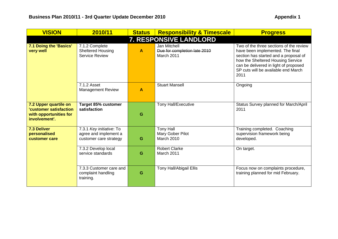| <b>VISION</b>                                                                              | 2010/11                                                                     | <b>Status</b>                                                   | <b>Responsibility &amp; Timescale</b>              | <b>Progress</b>                                                                                                                                                                                                                                   |  |  |  |
|--------------------------------------------------------------------------------------------|-----------------------------------------------------------------------------|-----------------------------------------------------------------|----------------------------------------------------|---------------------------------------------------------------------------------------------------------------------------------------------------------------------------------------------------------------------------------------------------|--|--|--|
| 7. RESPONSIVE LANDLORD                                                                     |                                                                             |                                                                 |                                                    |                                                                                                                                                                                                                                                   |  |  |  |
| 7.1 Doing the 'Basics'<br>very well                                                        | 7.1.2 Complete<br><b>Sheltered Housing</b><br><b>Service Review</b>         | Jan Mitchell<br>Due for completion late 2010<br>A<br>March 2011 |                                                    | Two of the three sections of the review<br>have been implemented. The final<br>section has started and a proposal of<br>how the Sheltered Housing Service<br>can be delivered in light of proposed<br>SP cuts will be available end March<br>2011 |  |  |  |
|                                                                                            | 7.1.2 Asset<br><b>Management Review</b>                                     | $\blacktriangle$                                                | <b>Stuart Mansell</b>                              | Ongoing                                                                                                                                                                                                                                           |  |  |  |
| 7.2 Upper quartile on<br>'customer satisfaction<br>with opportunities for<br>involvement'. | Target 85% customer<br>satisfaction                                         | G                                                               | <b>Tony Hall/Executive</b>                         | Status Survey planned for March/April<br>2011                                                                                                                                                                                                     |  |  |  |
| <b>7.3 Deliver</b><br>personalised<br>customer care                                        | 7.3.1 Key initiative: To<br>agree and implement a<br>customer care strategy | G                                                               | <b>Tony Hall</b><br>Mary Gober Pilot<br>March 2010 | Training completed. Coaching<br>supervision framework being<br>developed.                                                                                                                                                                         |  |  |  |
|                                                                                            | 7.3.2 Develop local<br>service standards                                    | G                                                               | <b>Robert Clarke</b><br>March 2011                 | On target.                                                                                                                                                                                                                                        |  |  |  |
|                                                                                            | 7.3.3 Customer care and<br>complaint handling<br>training.                  | G                                                               | Tony Hall/Abigail Ellis                            | Focus now on complaints procedure,<br>training planned for mid February.                                                                                                                                                                          |  |  |  |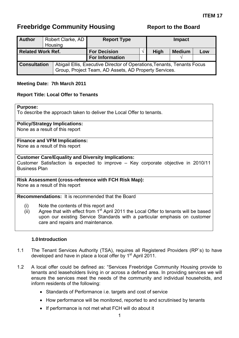<span id="page-48-0"></span>

| <b>Author</b>            |  | Robert Clarke, AD<br>Housing                                                                                                     | <b>Report Type</b>     |  | <b>Impact</b> |               |     |
|--------------------------|--|----------------------------------------------------------------------------------------------------------------------------------|------------------------|--|---------------|---------------|-----|
| <b>Related Work Ref.</b> |  |                                                                                                                                  | <b>For Decision</b>    |  | <b>High</b>   | <b>Medium</b> | Low |
|                          |  |                                                                                                                                  | <b>For Information</b> |  |               |               |     |
| <b>Consultation</b>      |  | Abigail Ellis, Executive Director of Operations, Tenants, Tenants Focus<br>Group, Project Team, AD Assets, AD Property Services. |                        |  |               |               |     |

#### **Meeting Date: 7th March 2011**

#### **Report Title: Local Offer to Tenants**

#### **Purpose:**

To describe the approach taken to deliver the Local Offer to tenants.

#### **Policy/Strategy Implications:**

None as a result of this report

#### **Finance and VFM Implications:**

None as a result of this report

#### **Customer Care/Equality and Diversity Implications:**

Customer Satisfaction is expected to improve – Key corporate objective in 2010/11 Business Plan

#### **Risk Assessment (cross-reference with FCH Risk Map):**  None as a result of this report

## **Recommendations:** It is recommended that the Board

- (i) Note the contents of this report and
- (ii) Agree that with effect from  $1<sup>st</sup>$  April 2011 the Local Offer to tenants will be based upon our existing Service Standards with a particular emphasis on customer care and repairs and maintenance.

#### **1.0 Introduction**

- 1.1 The Tenant Services Authority (TSA), requires all Registered Providers (RP`s) to have developed and have in place a local offer by 1<sup>st</sup> April 2011.
- 1.2 A local offer could be defined as: "Services Freebridge Community Housing provide to tenants and leaseholders living in or across a defined area. In providing services we will ensure the services meet the needs of the community and individual households, and inform residents of the following:
	- Standards of Performance i.e. targets and cost of service
	- How performance will be monitored, reported to and scrutinised by tenants
	- If performance is not met what FCH will do about it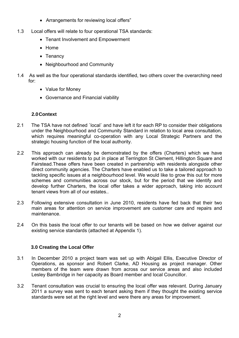- Arrangements for reviewing local offers"
- 1.3 Local offers will relate to four operational TSA standards:
	- Tenant Involvement and Empowerment
	- Home
	- Tenancy
	- Neighbourhood and Community
- 1.4 As well as the four operational standards identified, two others cover the overarching need for:
	- Value for Money
	- Governance and Financial viability

#### **2.0 Context**

- 2.1 The TSA have not defined `local` and have left it for each RP to consider their obligations under the Neighbourhood and Community Standard in relation to local area consultation, which requires meaningful co-operation with any Local Strategic Partners and the strategic housing function of the local authority.
- 2.2 This approach can already be demonstrated by the offers (Charters) which we have worked with our residents to put in place at Terrington St Clement, Hillington Square and Fairstead.These offers have been created in partnership with residents alongside other direct community agencies. The Charters have enabled us to take a tailored approach to tackling specific issues at a neighbourhood level. We would like to grow this out for more schemes and communities across our stock, but for the period that we identify and develop further Charters, the local offer takes a wider approach, taking into account tenant views from all of our estates..
- 2.3 Following extensive consultation in June 2010, residents have fed back that their two main areas for attention on service improvement are customer care and repairs and maintenance.
- 2.4 On this basis the local offer to our tenants will be based on how we deliver against our existing service standards (attached at Appendix 1).

#### **3.0 Creating the Local Offer**

- 3.1 In December 2010 a project team was set up with Abigail Ellis, Executive Director of Operations, as sponsor and Robert Clarke, AD Housing as project manager. Other members of the team were drawn from across our service areas and also included Lesley Bambridge in her capacity as Board member and local Councillor.
- 3.2 Tenant consultation was crucial to ensuring the local offer was relevant. During January 2011 a survey was sent to each tenant asking them if they thought the existing service standards were set at the right level and were there any areas for improvement.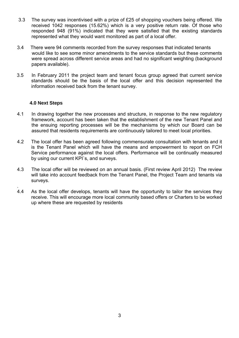- 3.3 The survey was incentivised with a prize of £25 of shopping vouchers being offered. We received 1042 responses (15.62%) which is a very positive return rate. Of those who responded 948 (91%) indicated that they were satisfied that the existing standards represented what they would want monitored as part of a local offer.
- 3.4 There were 94 comments recorded from the survey responses that indicated tenants would like to see some minor amendments to the service standards but these comments were spread across different service areas and had no significant weighting (background papers available).
- 3.5 In February 2011 the project team and tenant focus group agreed that current service standards should be the basis of the local offer and this decision represented the information received back from the tenant survey.

#### **4.0 Next Steps**

- 4.1In drawing together the new processes and structure, in response to the new regulatory framework, account has been taken that the establishment of the new Tenant Panel and the ensuing reporting processes will be the mechanisms by which our Board can be assured that residents requirements are continuously tailored to meet local priorities.
- 4.2The local offer has been agreed following commensurate consultation with tenants and it is the Tenant Panel which will have the means and empowerment to report on FCH Service performance against the local offers. Performance will be continually measured by using our current KPI`s, and surveys.
- 4.3 The local offer will be reviewed on an annual basis. (First review April 2012) The review will take into account feedback from the Tenant Panel, the Project Team and tenants via surveys.
- . 4.4As the local offer develops, tenants will have the opportunity to tailor the services they receive. This will encourage more local community based offers or Charters to be worked up where these are requested by residents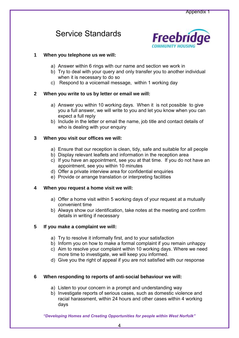# Service Standards



#### **1 When you telephone us we will:**

- a) Answer within 6 rings with our name and section we work in
- b) Try to deal with your query and only transfer you to another individual when it is necessary to do so
- c) Respond to a voicemail message, within 1 working day

#### **2 When you write to us by letter or email we will:**

- a) Answer you within 10 working days. When it is not possible to give you a full answer, we will write to you and let you know when you can expect a full reply
- b) Include in the letter or email the name, job title and contact details of who is dealing with your enquiry

#### **3 When you visit our offices we will:**

- a) Ensure that our reception is clean, tidy, safe and suitable for all people
- b) Display relevant leaflets and information in the reception area
- c) If you have an appointment, see you at that time. If you do not have an appointment, see you within 10 minutes
- d) Offer a private interview area for confidential enquiries
- e) Provide or arrange translation or interpreting facilities

#### **4 When you request a home visit we will:**

- a) Offer a home visit within 5 working days of your request at a mutually convenient time
- b) Always show our identification, take notes at the meeting and confirm details in writing if necessary

#### **5 If you make a complaint we will:**

- a) Try to resolve it informally first, and to your satisfaction
- b) Inform you on how to make a formal complaint if you remain unhappy
- c) Aim to resolve your complaint within 10 working days. Where we need more time to investigate, we will keep you informed.
- d) Give you the right of appeal if you are not satisfied with our response

#### **6 When responding to reports of anti-social behaviour we will:**

- a) Listen to your concern in a prompt and understanding way
- b) Investigate reports of serious cases, such as domestic violence and racial harassment, within 24 hours and other cases within 4 working days

*"Developing Homes and Creating Opportunities for people within West Norfolk"*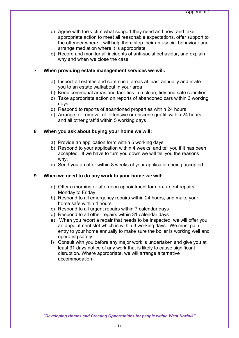- c) Agree with the victim what support they need and how, and take appropriate action to meet all reasonable expectations, offer support to the offender where it will help them stop their anti-social behaviour and arrange mediation where it is appropriate
- d) Record and monitor all incidents of anti-social behaviour, and explain why and when we close the case

#### **7 When providing estate management services we will:**

- a) Inspect all estates and communal areas at least annually and invite you to an estate walkabout in your area
- b) Keep communal areas and facilities in a clean, tidy and safe condition
- c) Take appropriate action on reports of abandoned cars within 3 working days
- d) Respond to reports of abandoned properties within 24 hours
- e) Arrange for removal of offensive or obscene graffiti within 24 hours and all other graffiti within 5 working days

#### **8 When you ask about buying your home we will:**

- a) Provide an application form within 5 working days
- b) Respond to your application within 4 weeks, and tell you if it has been accepted. If we have to turn you down we will tell you the reasons why.
- c) Send you an offer within 8 weeks of your application being accepted

#### **9 When we need to do any work to your home we will:**

- a) Offer a morning or afternoon appointment for non-urgent repairs Monday to Friday
- b) Respond to all emergency repairs within 24 hours, and make your home safe within 4 hours
- c) Respond to all urgent repairs within 7 calendar days
- d) Respond to all other repairs within 31 calendar days
- e) When you report a repair that needs to be inspected, we will offer you an appointment slot which is within 3 working days. We must gain entry to your home annually to make sure the boiler is working well and operating safely.
- f) Consult with you before any major work is undertaken and give you at least 31 days notice of any work that is likely to cause significant disruption. Where appropriate, we will arrange alternative accommodation

*"Developing Homes and Creating Opportunities for people within West Norfolk"*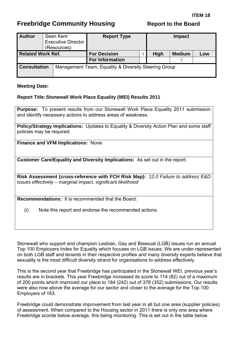<span id="page-53-0"></span>

| <b>Author</b>            |  | Sean Kent<br><b>Executive Director</b><br>(Resources) | <b>Report Type</b>     |  | <b>Impact</b> |               |     |
|--------------------------|--|-------------------------------------------------------|------------------------|--|---------------|---------------|-----|
| <b>Related Work Ref.</b> |  |                                                       | <b>For Decision</b>    |  | <b>High</b>   | <b>Medium</b> | Low |
|                          |  |                                                       | <b>For Information</b> |  |               |               |     |
| <b>Consultation</b>      |  | Management Team, Equality & Diversity Steering Group  |                        |  |               |               |     |

#### **Meeting Date:**

#### **Report Title: Stonewall Work Place Equality (WEI) Results 2011**

**Purpose:** To present results from our Stonewall Work Place Equality 2011 submission and identify necessary actions to address areas of weakness.

**Policy/Strategy Implications:** Updates to Equality & Diversity Action Plan and some staff policies may be required.

**Finance and VFM Implications:** None

**Customer Care/Equality and Diversity Implications:** As set out in the report.

**Risk Assessment (cross-reference with FCH Risk Map):** *12.0 Failure to address E&D issues effectively – marginal impact, significant likelihood* 

**Recommendations:** It is recommended that the Board:

(i) Note this report and endorse the recommended actions.

Stonewall who support and champion Lesbian, Gay and Bisexual (LGB) issues run an annual Top 100 Employers Index for Equality which focuses on LGB issues. We are under-represented on both LGB staff and tenants in their respective profiles and many diversity experts believe that sexuality is the most difficult diversity strand for organisations to address effectively.

This is the second year that Freebridge has participated in the Stonewall WEI, previous year's results are in brackets. This year Freebridge increased its score to 114 (82) out of a maximum of 200 points which improved our place to 184 (242) out of 378 (352) submissions. Our results were also now above the average for our sector and closer to the average for the Top 100 Employers of 163.

Freebridge could demonstrate improvement from last year in all but one area (supplier policies) of assessment. When compared to the Housing sector in 2011 there is only one area where Freebridge scorde below average, this being monitoring. This is set out in the table below.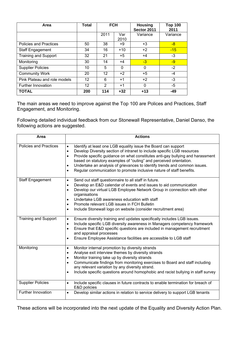| Area                          | <b>Total</b> | <b>FCH</b> |             | <b>Housing</b><br>Sector 2011 | <b>Top 100</b><br>2011 |
|-------------------------------|--------------|------------|-------------|-------------------------------|------------------------|
|                               |              | 2011       | Var<br>2010 | Variance                      | Variance               |
| <b>Policies and Practices</b> | 50           | 38         | +9          | $+3$                          | $-8$                   |
| <b>Staff Engagement</b>       | 34           | 16         | $+10$       | $+2$                          | $-15$                  |
| <b>Training and Support</b>   | 32           | 21         | $+5$        | $+4$                          | $-3$                   |
| Monitoring                    | 30           | 14         | +4          | $-3$                          | $-9$                   |
| <b>Supplier Policies</b>      | 10           | 5          | 0           | $\mathbf 0$                   | $-2$                   |
| <b>Community Work</b>         | 20           | 12         | $+2$        | $+5$                          | $-4$                   |
| Pink Plateau and role models  | 12           | 6          | $+1$        | $+2$                          | $-3$                   |
| Further Innovation            | 12           | 2          | +1          | $\mathbf 0$                   | -5                     |
| <b>TOTAL</b>                  | 200          | 114        | $+32$       | $+13$                         | $-49$                  |

The main areas we need to improve against the Top 100 are Polices and Practices, Staff Engagement, and Monitoring.

Following detailed individual feedback from our Stonewall Representative, Daniel Danso, the following actions are suggested.

| Area                          | <b>Actions</b>                                                                                                                                                                                                                                                                                                                                                                                                                                                                                                          |
|-------------------------------|-------------------------------------------------------------------------------------------------------------------------------------------------------------------------------------------------------------------------------------------------------------------------------------------------------------------------------------------------------------------------------------------------------------------------------------------------------------------------------------------------------------------------|
| <b>Policies and Practices</b> | Identify at least one LGB equality issue the Board can support<br>$\bullet$<br>Develop Diversity section of intranet to include specific LGB resources<br>$\bullet$<br>Provide specific guidance on what constitutes anti-gay bullying and harassment<br>$\bullet$<br>based on statutory examples of "outing" and perceived orientation.<br>Undertake an analysis of grievances to identify trends and common issues.<br>$\bullet$<br>Regular communication to promote inclusive nature of staff benefits.<br>$\bullet$ |
| <b>Staff Engagement</b>       | Send out staff questionnaire to all staff in future.<br>$\bullet$<br>Develop an E&D calendar of events and issues to aid communication<br>$\bullet$<br>Develop our virtual LGB Employee Network Group in connection with other<br>$\bullet$<br>organisations<br>Undertake LGB awareness education with staff<br>$\bullet$<br>Promote relevant LGB issues in FCH Bulletin<br>$\bullet$<br>Include Stonewall logo on website (consider recruitment area)<br>$\bullet$                                                     |
| <b>Training and Support</b>   | Ensure diversity training and updates specifically includes LGB issues.<br>$\bullet$<br>Include specific LGB diversity awareness in Managers competency framework<br>$\bullet$<br>Ensure that E&D specific questions are included in management recruitment<br>$\bullet$<br>and appraisal processes<br>Ensure Employee Assistance facilities are accessible to LGB staff<br>$\bullet$                                                                                                                                   |
| Monitoring                    | Monitor internal promotion by diversity strands<br>$\bullet$<br>Analyse exit interview themes by diversity strands<br>$\bullet$<br>Monitor training take up by diversity strands<br>$\bullet$<br>Communicate findings from monitoring exercises to Board and staff including<br>$\bullet$<br>any relevant variation by any diversity strand.<br>Include specific questions around homophobic and racist bullying in staff survey<br>$\bullet$                                                                           |
| <b>Supplier Policies</b>      | Include specific clauses in future contracts to enable termination for breach of<br>$\bullet$<br>E&D policies                                                                                                                                                                                                                                                                                                                                                                                                           |
| Further Innovation            | Develop similar actions in relation to service delivery to support LGB tenants<br>$\bullet$                                                                                                                                                                                                                                                                                                                                                                                                                             |

These actions will be incorporated into the next update of the Equality and Diversity Action Plan.